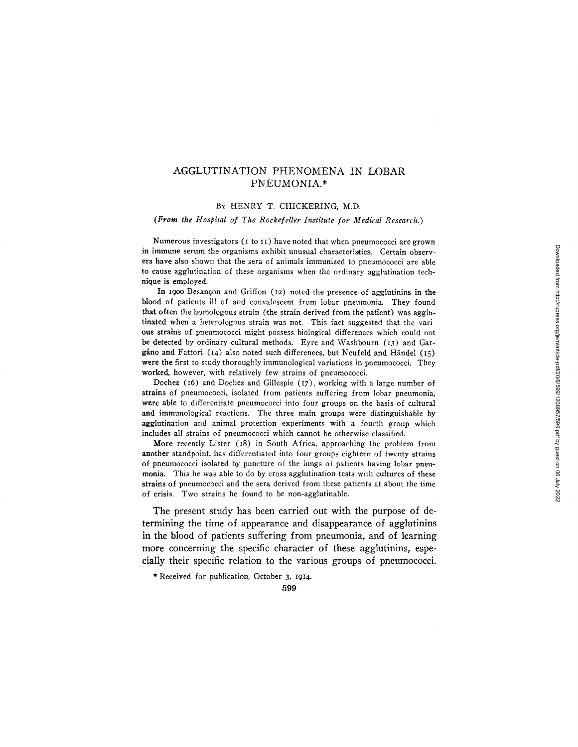# AGGLUTINATION PHENOMENA IN LOBAR PNEUMONIA.\*

## BY HENRY T. CHICKERING, M.D.

*(From the Hospital of The Rockefeller Institute for Medical Research.)* 

Numerous investigators (I to II) have noted that when pneumococci are grown in immune serum the organisms exhibit unusual characteristics. Certain observers have also shown that the sera of animals immunized to pneumococci are able to cause agglutination of these organisms when the ordinary agglutination technique is employed.

In 1900 Besançon and Griffon  $(12)$  noted the presence of agglutinins in the blood of patients ill of and convalescent from lobar pneumonia. They found that often the homologous strain (the strain derived from the patient) was agglutinated when a heterologous strain was not. This fact suggested that the various strains of pneumococci might possess biological differences which could not be detected by ordinary cultural methods. Eyre and Washbourn (13) and Gargáno and Fattori (14) also noted such differences, but Neufeld and Händel (15) were the first to study thoroughly immunological variations in pneumococci. They worked, however, with relatively few strains of pneumococci.

Dochez (i6) and Dochez and Gillespie (I7), working with a large number of strains of pneumococci, isolated from patients suffering from lobar pneumonia, were able to differentiate pneumococci into four groups on the basis of cultural and immunological reactions. The three main groups were distinguishable by agglutination and animal protection experiments with a fourth group which includes all strains of pneumococci which cannot be otherwise classified.

More recently Lister (I8) in South Africa, approaching the problem from another standpoint, has differentiated into four groups eighteen of twenty strains of pneumococci isolated by puncture of the lungs of patients having lobar pneumonia. This he was able to do by cross agglutination tests with cultures of these strains of pneumococci and the sera derived from these patients at about the time of crisis. Two strains he found to be non-agglutinable.

The present study has been carried out with the purpose of determining the time of appearance and disappearance of agglutinins in the blood of patients suffering from pneumonia, and of learning more concerning the specific character of these agglutinins, especially their specific relation to the various groups of pneumococci.

\* Received for publication, October 3, I914.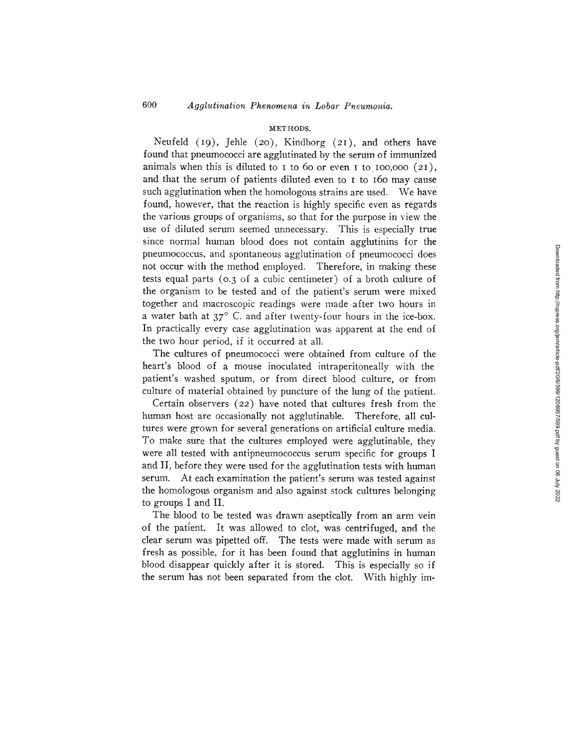### METHODS.

Neufeld  $(19)$ , Jehle  $(20)$ , Kindborg  $(21)$ , and others have found that pneumococci are agglutinated by the serum of immunized animals when this is diluted to  $I$  to 60 or even  $I$  to  $I$ 00,000 (2 $I$ ), and that the serum of patients diluted even to I to 160 may cause such agglutination when the homologous strains are used. We have found, however, that the reaction is highly specific even as regards the various groups of organisms, so that for the purpose in view the use of diluted serum seemed unnecessary. This is especially true since normal human blood does not contain agglutinins for the pneumococcus, and spontaneous agglutination of pneumococci does not occur with the method employed. Therefore, in making these tests equal parts (0.3 of a cubic centimeter) of a broth culture of the organism to be tested and of the patient's serum were mixed together and macroscopic readings were made after two hours in a water bath at  $37^\circ$  C. and after twenty-four hours in the ice-box. In practically every case agglutination was apparent at the end of the two hour period, if it occurred at all.

The cultures of pneumococci were obtained from culture of the heart's blood of a mouse inoculated intraperitoneally with the patient's washed sputum, or from direct blood culture, or from culture of material obtained by puncture of the tung of the patient.

Certain observers (22) have noted that cultures fresh from the human host are occasionally not agglutinable. Therefore, all cultures were grown for several generations on artificial culture media. To make sure that the cultures employed were agglutinable, they were all tested with antipneumococcus serum specific for groups I and II, before they were used for the agglutination tests with human serum. At each examination the patient's serum was tested against the homologous organism and also against stock cultures belonging to groups I and II.

The blood to be tested was drawn aseptically from an arm vein of the patient. It was allowed to clot, was centrifuged, and the clear serum was pipetted off. The tests were made with serum as fresh as possible, for it has been found that agglutinins in human blood disappear quickly after it is stored. This is especially so if the serum has not been separated from the clot. With highly im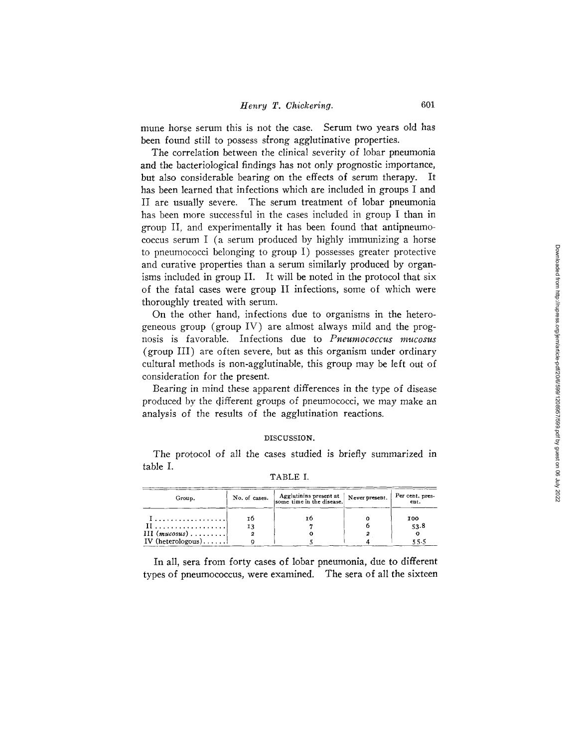mune horse serum this is not the case. Serum two years old has been found still to possess strong agglutinative properties.

The correlation between the clinical severity of lobar pneumonia and the bacteriological findings has not only prognostic importance, but also considerable bearing on the effects of serum therapy. It has been learned that infections which are included in groups I and II are usually severe. The serum treatment of lobar pneumonia has been more successful in the cases included in group I than in group II, and experimentally it has been found that antipneumococcus serum I (a serum produced by highly immunizing a horse to pneumococci belonging to group I) possesses greater protective and curative properties than a serum similarly produced by organisms included in group II. It will be noted in the protocol that six of the fatal cases were group II infections, some of which were thoroughly treated with serum.

On the other hand, infections due to organisms in the heterogeneous group (group IV) are almost always mild and the prognosis is favorable. Infections due to Pneumococcus mucosus (group III) are often severe, but as this organism under ordinary cultural methods is non-agglutinable, this group may be left out of consideration for the present.

Bearing in mind these apparent differences in the type of disease produced by the different groups of pneumococci, we may make an analysis of the results of the agglutination reactions.

### DISCUSSION.

The protocol of all the cases studied is briefly summarized in table I.

| Group.            | No. of cases. | Agglutinins present at Never present. Per cent. pressume time in the disease. |      |
|-------------------|---------------|-------------------------------------------------------------------------------|------|
|                   | τħ            | τn                                                                            | 100  |
|                   | 13            |                                                                               | 53.8 |
| $III$ (mucosus)   |               |                                                                               |      |
| IV (heterologous) |               |                                                                               | 55.5 |

TABLE I.

In all, sera from forty cases of lobar pneumonia, due to different types of pneumococcus, were examined. The sera of all the sixteen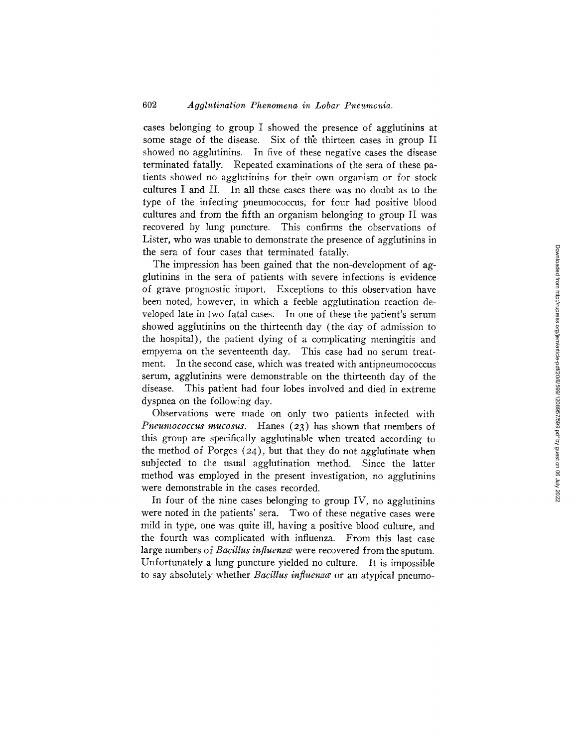cases belonging to group I showed the presence of agglutinins at some stage of the disease. Six of the thirteen cases in group II showed no agglutinins. In five of these negative cases the disease terminated fatally. Repeated examinations of the sera of these patients showed no agglutinins for their own organism or for stock cultures I and II. In all these cases there was no doubt as to the type of the infecting pneumococcus, for four had positive blood cultures and from the fifth an organism belonging to group II was recovered by lung puncture. This confirms the observations of Lister, who was unable to demonstrate the presence of agglutinins in the sera of four cases that terminated fatally.

The impression has been gained that the non-development of agglutinins in the sera of patients with severe infections is evidence of grave prognostic import. Exceptions to this observation have been noted, however, in which a feeble agglutination reaction developed late in two fatal cases. In one of these the patient's serum showed agglutinins on the thirteenth day (the day of admission to the hospital), the patient dying of a complicating meningitis and empyema on the seventeenth day. This case had no serum treatment. In the second case, which was treated with antipneumococcus serum, agglutinins were demonstrable on the thirteenth day of the disease. This patient had four lobes involved and died in extreme dyspnea on the following day.

Observations were made on only two patients infected with *Pneumococcus mucosus.* Hanes (23) has shown that members of this group are specifically agglutinable when treated according to the method of Porges  $(24)$ , but that they do not agglutinate when subjected to the usual agglutination method. Since the latter method was employed in the present investigation, no agglutinins were demonstrable in the cases recorded.

In four of the nine cases belonging to group IV, no agglutinins were noted in the patients' sera. Two of these negative cases were mild in type, one was quite ill, having a positive blood culture, and the fourth was complicated with influenza. From this last case large numbers of *Bacillus influenzce* were recovered from the sputum. Unfortunately a lung puncture yielded no culture. It is impossible to say absolutely whether *Bacillus influenza* or an atypical pneumo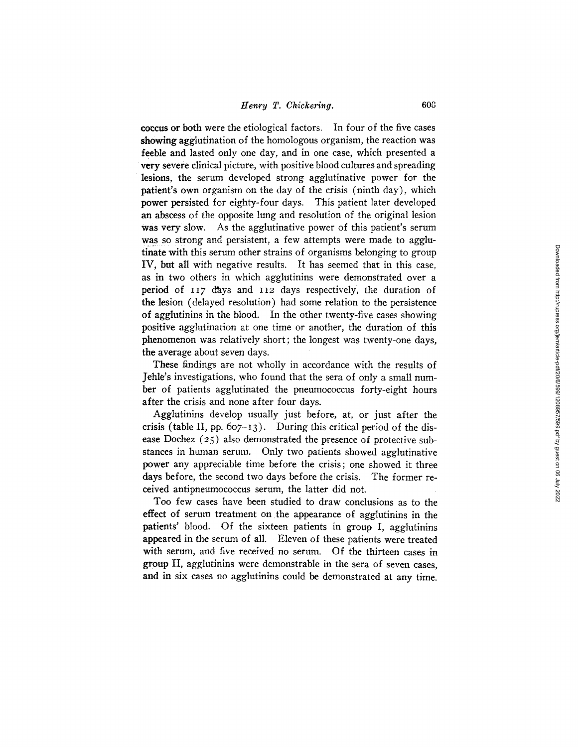**coccus** or both were the etiological factors. In four of the five cases showing agglutination of the homologous organism, the reaction was feeble and lasted only one day, and in one case, which presented a very severe clinical picture, with positive blood cultures and spreading lesions, the serum developed strong agglutinative power for the patient's own organism on the day of the crisis (ninth day), which power persisted for eighty-four days. This patient later developed an abscess of the opposite lung and resolution of the original lesion was very slow. As the agglutinative power of this patient's serum was so strong and persistent, a few attempts were made to agglutinate with this serum other strains of organisms belonging to group IV, but all with negative results. It has seemed that in this case, as in two others in which agglutinins were demonstrated over a period of 117 days and 112 days respectively, the duration of the lesion (delayed resolution) had some relation to the persistence of agglutinins in the blood. In the other twenty-five cases showing positive agglutination at one time or another, the duration of this phenomenon was relatively short; the longest was twenty-one days, the average about seven days.

These findings are not wholly in accordance with the results of Jehle's investigations, who found that the sera of only a small number of patients agglutinated the pneumococcus forty-eight hours after the crisis and none after four days.

Agglutinins develop usually just before, at, or just after the crisis (table II, pp.  $607-13$ ). During this critical period of the disease Dochez (25) also demonstrated the presence of protective substances in human serum. Only two patients showed agglutinative power any appreciable time before the crisis; one showed it three days before, the second two days before the crisis. The former received antipneumococcus serum, the latter did not.

Too few cases have been studied to draw conclusions as to the effect of serum treatment on the appearance of agglutinins in the patients' blood. Of the sixteen patients in group I, agglutinins appeared in the serum of all. Eleven of these patients were treated with serum, and five received no serum. Of the thirteen cases in group II, agglutinins were demonstrable in the sera of seven eases, and in six cases no agglutinins could be demonstrated at any time.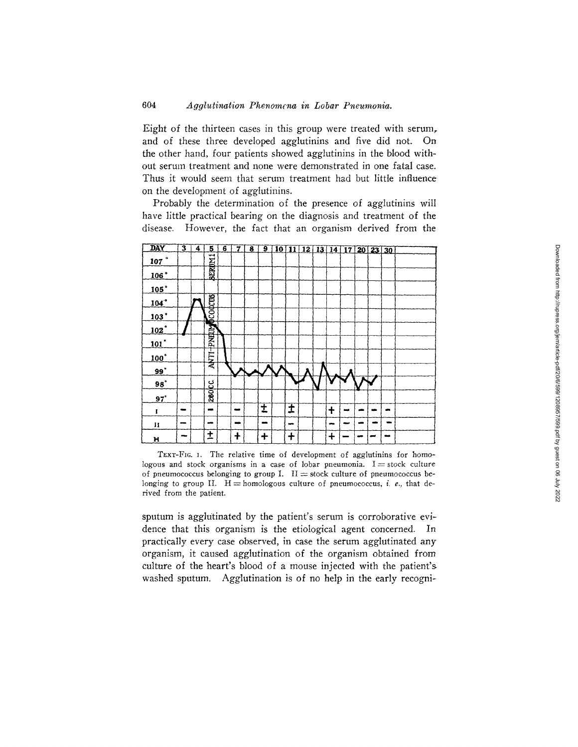#### 604 Agglutination Phenomena in Lobar Pneumonia.

Eight of the thirteen cases in this group were treated with serum, and of these three developed agglutinins and five did not. On the other hand, four patients showed agglutining in the blood without serum treatment and none were demonstrated in one fatal case. Thus it would seem that serum treatment had but little influence on the development of agglutinins.

Probably the determination of the presence of agglutinins will have little practical bearing on the diagnosis and treatment of the disease. However, the fact that an organism derived from the



TEXT-FIG. I. The relative time of development of agglutinins for homologous and stock organisms in a case of lobar pneumonia.  $I = stock$  culture of pneumococcus belonging to group I. II = stock culture of pneumococcus belonging to group II.  $H =$  homologous culture of pneumococcus, i. e., that derived from the patient.

sputum is agglutinated by the patient's serum is corroborative evidence that this organism is the etiological agent concerned. In practically every case observed, in case the serum agglutinated any organism, it caused agglutination of the organism obtained from culture of the heart's blood of a mouse injected with the patient's washed sputum. Agglutination is of no help in the early recogni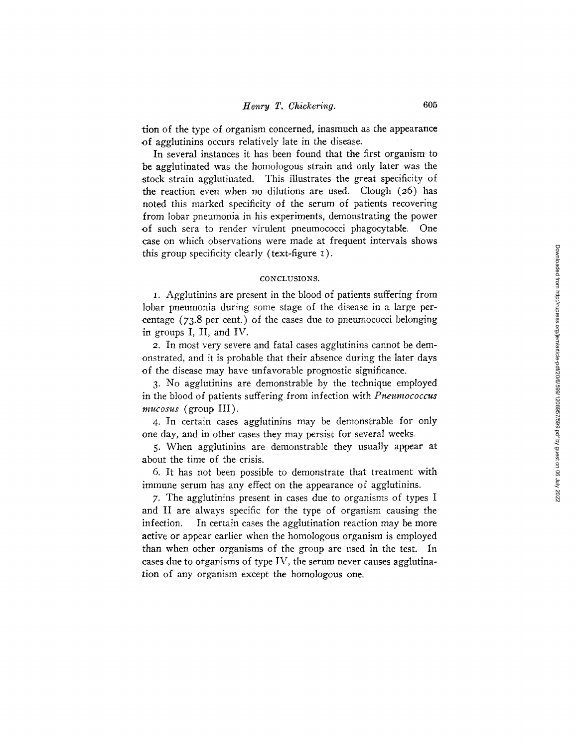tion of the type of organism concerned, inasmuch as the appearance of agglutinins occurs relatively late in the disease.

In several instances it has been found that the first organism to be agglutinated was the homologous strain and only later was the stock strain agglutinated. This illustrates the great specificity of the reaction even when no dilutions are used. Clough (26) has noted this marked specificity of the serum of patients recovering from lobar pneumonia in his experiments, demonstrating the power of such sera to render virulent pneumococci phagocytable. One case on which observations were made at frequent intervals shows this group specificity clearly (text-figure I).

### CONCLUSIONS.

I. Agglutinins are present in the blood of patients suffering from lobar pneumonia during some stage of the disease in a large per centage  $(73.8$  per cent.) of the cases due to pneumococci belonging in groups I, II, and IV.

2. In most very severe and fatal cases agglutinins cannot be demonstrated, and it is probable that their absence during the later days of the disease may have unfavorable prognostic significance.

3- No agglutinins are demonstrable by the technique employed in the blood of patients suffering from infection with *Pneumococcus mucosus* (group III).

4. In certain cases agglutinins may be demonstrable for only one day, and in Other cases they may persist for several weeks.

5. When agglutinins are demonstrable they usually appear at about the time of the crisis.

6. It has not been possible to demonstrate that treatment with immune serum has any effect on the appearance of agglutinins.

7- The agglutinins present in cases due to organisms of types I and II are always specific for the type of organism causing the infection. In certain cases the agglutination reaction may be more active or appear earlier when the homologous organism is employed than when other organisms of the group are used in the test. In cases due to organisms of type IV, the serum never causes agglutination of any organism except the homologous one.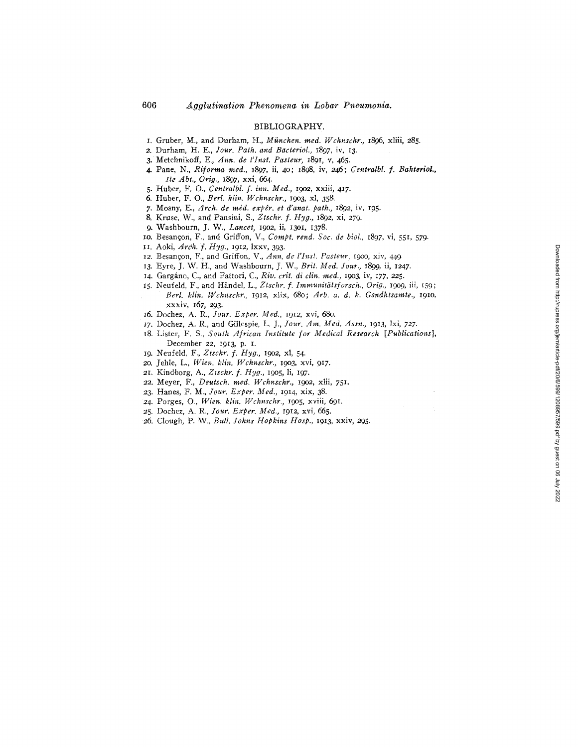### BIBLIOGRAPHY.

- I. Gruber, M., and Durham, H., *München. med. Wchnschr.*, 1896, xliii, 285.
- 2. Durham, H. E., *Jour. Path. and Bacteriol.,* 1897, iv, 13.
- 3. Metchnikoff, E., *Ann. de l'Inst. Pasteur,* 1891, v, 465.
- 4. Pane, N., *Riforma reed., 1897,* ii, 40; 1898, iv, 246; *Centralbl. f. Bakteriol., Ire Abt., Orig.,* 1897, xxi, 664.
- 5. Huber, F. O., *Centralbl. f. inn. Med.,* 19o2, xxiii, 417.
- 6. Huber, F. O., *Berl. klin. Wchnschr.,* 19o3, xl, 358.
- 7. Mosny, E., *Arch. de m~d. exp~', et d'anat, path.,* 1892, iv, 195.
- 8. Kruse, W., and Pansini, S., *Ztschr. f. Hyg.,* 1892, xi, 279.
- 9- Washbourn, J. W., *Lancet,* 19o2, ii, 13oi, 1378.
- 10. Besancon, F., and Griffon, V., *Compt. rend. Soc. de biol.*, *1897, vi*, 551, 579.
- II. Aoki, *Ard~. f. Hyg.,* 1912, lxxv, 393.
- 12. Besanqon, F., and Griffon, V., *Ann. de l'Inst. Pasteur,* I9OO, xiv, 449.
- 13. Eyre, J. W. H., and Washbourn, J. W., *Brit. Med. Jour.*, 1899, ii, 1247.
- 14. Gargáno, C., and Fattori, C., *Riv. crit. di clin. med.*, 1903, iv, 177, 225.
- 15. Neufeld, F., and Händel, L., Ztschr. f. Immunitätsforsch., Orig., 1909, iii, 159; *Berl. klin. Wchnschr.,* 1912, xlix, 680; *Arb. a. d. k. Gsndhtsamte.,* 19Io, xxxiv, I67, 293.
- 16. Dochez, A. R., *Jour. Exper. Med.,* 1912, xvi, 68o.
- t7. Dochez, A. R., and Gillespie, L. J., *]our. Am. Med. Assn.,* I913, lxi, 727.
- 18. Lister, F. S., *South African Institute for Medical Research [Publications]*, December 22, 1913, p. I.
- 19. Neufeld, F., *Ztschr. f. Hyg.,* 19o2, xl, 54.
- 2o. Jehle, L., *Wien. klin. Wchnschr.,* 19o3, xvi, 917.
- 21. Kindborg, A., *Ztschr. f. Hyg.,* 19o5, li, 197.
- 22. Meyer, F., *Deutsch. reed. Wchnschr., 19o2,* xlii, 751.
- 23. Hanes, F. M., *Jour. Exper. Med.,* 1914, xix, 38.
- 24. Porges, O., *Wien. klin. Wchnschr.,* 19o5, xviii, 691.
- 25. Dochez, A. R., *Jour. Exper. Med.,* 1912, xvi, 665.
- 26. Clough, P. W., *Bull. Johns Hopkins Hosp.*, 1913, xxiv, 295.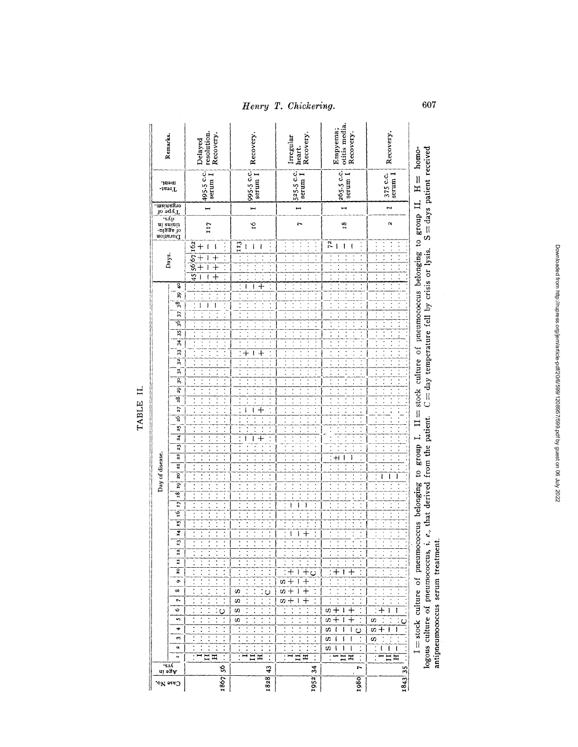| Remarks.                              | ment.                                     | resolution.<br>Recovery.<br>Delayed                                | Recovery.                                      | Recovery.<br>Irregular<br>heart.                                     | otitis media.<br>Empyema;<br>Recovery.              | Recovery.                           | S = days patient received<br>homo-                                                                                 |
|---------------------------------------|-------------------------------------------|--------------------------------------------------------------------|------------------------------------------------|----------------------------------------------------------------------|-----------------------------------------------------|-------------------------------------|--------------------------------------------------------------------------------------------------------------------|
| $_{\rm rest}$<br>organism             |                                           | $\begin{bmatrix} 495.5 \text{ c.c.} \\ \text{serum} \end{bmatrix}$ | 995-5 c.c.                                     | $\begin{bmatrix} 525.5 \text{ c.c.} \\ \text{serum I} \end{bmatrix}$ | $265.5$ c.c.<br>serum $I$                           | serum I<br>375 c.c.                 | $\frac{11}{2}$                                                                                                     |
| Jo 2qyT                               | ∙s∆p                                      |                                                                    | $\blacksquare$                                 | H                                                                    |                                                     |                                     |                                                                                                                    |
|                                       | noitstud<br>-tiggs io<br>-tiggs io<br>and | 117                                                                | Š                                              | $\mathbf{r}$                                                         | 18                                                  | $\alpha$                            |                                                                                                                    |
|                                       |                                           | $\mathbf +$                                                        | 113<br>ł<br>ı                                  |                                                                      | $\overline{r}$                                      |                                     |                                                                                                                    |
| Days.                                 | इ                                         | 56 67 162<br>45<br>$\cdot$                                         | ┽<br>ı<br>ţ                                    |                                                                      | $\ddot{\cdot}$<br>$\ddot{\cdot}$                    |                                     | $\Pi =$ stock culture of pneumococcus belonging to group $\Pi$ .<br>$C = day$ temperature fell by crisis or lysis. |
|                                       | $\boldsymbol{3}$<br>38,                   | I<br>ļ                                                             |                                                |                                                                      |                                                     |                                     |                                                                                                                    |
|                                       | 37,<br>ত্ন                                |                                                                    |                                                |                                                                      | $\ddot{\cdot}$<br>$\ddot{\cdot}$                    |                                     |                                                                                                                    |
|                                       | 35                                        |                                                                    |                                                |                                                                      |                                                     |                                     |                                                                                                                    |
|                                       | $\frac{1}{6}$<br>$\mathfrak{B}$           |                                                                    | ╉<br>Ţ                                         |                                                                      | $\ddot{\cdot}$                                      |                                     |                                                                                                                    |
|                                       | $\overline{32}$                           |                                                                    |                                                |                                                                      |                                                     |                                     |                                                                                                                    |
|                                       | $\mathbf{r}$                              | $\vdots$                                                           |                                                |                                                                      | $\ddot{\cdot}$                                      | $\ddot{\phantom{0}}$                |                                                                                                                    |
|                                       | g,<br>99                                  | $\ddot{\cdot}$<br>$\ddot{\phantom{0}}$                             | $\ddot{\cdot}$<br>$\ddot{\phantom{0}}$         | $\ddot{\phantom{0}}$                                                 | $\ddot{\cdot}$                                      | $\ddot{\cdot}$                      |                                                                                                                    |
|                                       | 28                                        | $\ddot{\cdot}$<br>$\ddot{\cdot}$                                   |                                                |                                                                      | $\ddot{\phantom{0}}$<br>$\ddot{\cdot}$              |                                     |                                                                                                                    |
|                                       | 27                                        | $\overline{\cdot}$<br>$\ddot{\phantom{0}}$                         | $+$<br>I<br>l                                  |                                                                      | $\vdots$                                            |                                     |                                                                                                                    |
|                                       | 26.<br>25                                 |                                                                    |                                                |                                                                      |                                                     |                                     |                                                                                                                    |
|                                       | $\overline{4}$                            | Ì,<br>$\ddot{\cdot}$                                               | ı<br>$\ddag$<br>I                              |                                                                      | $\ddot{\cdot}$<br>$\ddot{\cdot}$                    |                                     |                                                                                                                    |
|                                       | 23                                        | :                                                                  |                                                |                                                                      | $\ddot{\cdot}$                                      |                                     |                                                                                                                    |
| Day of disease.                       | 22                                        | $\ddot{\phantom{0}}$                                               |                                                |                                                                      | $\ddot{\cdot}$<br>$\mathsf{H}$<br>۱                 |                                     |                                                                                                                    |
|                                       | 21<br>20                                  |                                                                    |                                                |                                                                      | $\ddot{\cdot}$<br>$\ddot{\cdot}$                    | :<br>ı                              |                                                                                                                    |
|                                       | $\overline{9}$                            | $\ddot{\cdot}$                                                     | $\ddot{\cdot}$                                 |                                                                      | $\overline{\cdot}$                                  |                                     |                                                                                                                    |
|                                       | $\frac{1}{2}$                             |                                                                    |                                                |                                                                      | $\ddot{\cdot}$                                      |                                     |                                                                                                                    |
|                                       | $\overline{17}$<br>Ϋ́                     |                                                                    |                                                | ۱<br>ł                                                               |                                                     |                                     |                                                                                                                    |
|                                       | ŗ                                         |                                                                    |                                                |                                                                      | $\vdots$<br>$\ddot{\cdot}$                          |                                     | e., that derived from the patient.                                                                                 |
|                                       | Ŧ                                         |                                                                    |                                                |                                                                      |                                                     |                                     |                                                                                                                    |
|                                       | $\overline{13}$<br>12                     |                                                                    |                                                |                                                                      |                                                     |                                     |                                                                                                                    |
|                                       | $\bf{H}$                                  |                                                                    |                                                |                                                                      |                                                     |                                     |                                                                                                                    |
|                                       | $\overline{c}$                            |                                                                    |                                                | C)                                                                   |                                                     |                                     |                                                                                                                    |
|                                       | ô                                         |                                                                    |                                                | w                                                                    |                                                     |                                     |                                                                                                                    |
|                                       | $\infty$                                  |                                                                    | s<br>$\circ$<br>$\ddot{\cdot}$                 | w                                                                    | $\ddot{\cdot}$                                      |                                     |                                                                                                                    |
|                                       | r.<br>v                                   | Ω                                                                  | ω<br>ω                                         | S)                                                                   | ω                                                   |                                     |                                                                                                                    |
|                                       | n                                         |                                                                    | U)                                             | $\ddot{\cdot}$                                                       | $\ddot{\cdot}$<br>U)<br>$\,{}^+$                    | U)<br>$\overline{Q}$                |                                                                                                                    |
|                                       | ₩                                         |                                                                    |                                                |                                                                      | s<br>ł<br>Ō                                         | U)<br>I<br>ł                        | I = stock culture of pneumococcus belonging to group I.<br>logous culture of pneumococcus, i.                      |
|                                       | m<br>и                                    | $\ddot{\cdot}$                                                     | $\ddot{\cdot}$                                 | $\ddot{\cdot}$                                                       | ÷,<br>U)<br>ł<br>í<br>ı<br>U)<br>١<br>I             | $\ddot{\cdot}$<br>S,<br>í<br>ł<br>ţ |                                                                                                                    |
|                                       |                                           | ፰                                                                  | $\overline{\mathbf{H}}$<br>Ħ<br>$\ddot{\cdot}$ | $\ddot{\cdot}$<br>Д                                                  | $\overline{\cdot}$<br>ĵ<br>$\ddot{\cdot}$<br>Ξ<br>H | ł<br>Ξ<br>$\mathbf{I}$              |                                                                                                                    |
|                                       |                                           | Ş,                                                                 | 43                                             | 34                                                                   | $\overline{a}$                                      | $\frac{5}{3}$                       |                                                                                                                    |
| Age in<br>$_{\rm{e}^\mathrm{reg}}$ No |                                           | 1867                                                               | 1828                                           | 1952                                                                 | 1980                                                | 1843                                |                                                                                                                    |

TABLE II.

607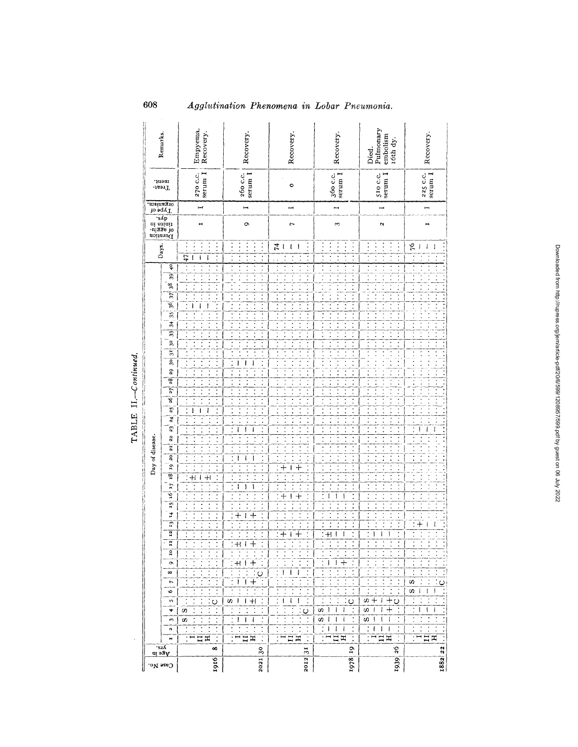| Remarks.                                                                                                                                                                                                                                                                                                                                                     | Empyema.<br>Recovery.                                                                                                                                                                                                           | Recovery.                                                                                                                                                                                                                                                                                                                                                                                                                                                                                                                                                                                                                                               | Recovery.                                                                                                                                                     | Recovery.                                                                                                                                                                                                                                                                                                                                                                         | Pulmonary<br>embolism<br>róth dy<br>Died.                                                                                                                                                                                                                                                                                                                                                                                                                                                                                                                                           | Recovery.                                                                                         |
|--------------------------------------------------------------------------------------------------------------------------------------------------------------------------------------------------------------------------------------------------------------------------------------------------------------------------------------------------------------|---------------------------------------------------------------------------------------------------------------------------------------------------------------------------------------------------------------------------------|---------------------------------------------------------------------------------------------------------------------------------------------------------------------------------------------------------------------------------------------------------------------------------------------------------------------------------------------------------------------------------------------------------------------------------------------------------------------------------------------------------------------------------------------------------------------------------------------------------------------------------------------------------|---------------------------------------------------------------------------------------------------------------------------------------------------------------|-----------------------------------------------------------------------------------------------------------------------------------------------------------------------------------------------------------------------------------------------------------------------------------------------------------------------------------------------------------------------------------|-------------------------------------------------------------------------------------------------------------------------------------------------------------------------------------------------------------------------------------------------------------------------------------------------------------------------------------------------------------------------------------------------------------------------------------------------------------------------------------------------------------------------------------------------------------------------------------|---------------------------------------------------------------------------------------------------|
| ment.<br>$T$ reat-                                                                                                                                                                                                                                                                                                                                           | $270 c.c.serumI$                                                                                                                                                                                                                | serum I<br>260 с.с.                                                                                                                                                                                                                                                                                                                                                                                                                                                                                                                                                                                                                                     | $\circ$                                                                                                                                                       | $\begin{array}{c} 360 \text{ c.c.} \\ \text{serum 1} \end{array}$                                                                                                                                                                                                                                                                                                                 | 510 C.C.<br>serum I                                                                                                                                                                                                                                                                                                                                                                                                                                                                                                                                                                 | $225$ c.c.<br>serum $\bar{1}$                                                                     |
| o sqv I<br>organism,                                                                                                                                                                                                                                                                                                                                         | $\overline{\phantom{a}}$                                                                                                                                                                                                        | H                                                                                                                                                                                                                                                                                                                                                                                                                                                                                                                                                                                                                                                       | I                                                                                                                                                             | $\blacksquare$                                                                                                                                                                                                                                                                                                                                                                    | I                                                                                                                                                                                                                                                                                                                                                                                                                                                                                                                                                                                   | ī                                                                                                 |
| doinsuid<br>of agglu-<br>.eyb<br>.eyb                                                                                                                                                                                                                                                                                                                        | $\mathbf{H}$                                                                                                                                                                                                                    | Ö                                                                                                                                                                                                                                                                                                                                                                                                                                                                                                                                                                                                                                                       | $\overline{ }$                                                                                                                                                | $\sim$                                                                                                                                                                                                                                                                                                                                                                            | $\mathbf{\hat{z}}$                                                                                                                                                                                                                                                                                                                                                                                                                                                                                                                                                                  | н                                                                                                 |
| Days.                                                                                                                                                                                                                                                                                                                                                        | ٠                                                                                                                                                                                                                               | $\vdots$                                                                                                                                                                                                                                                                                                                                                                                                                                                                                                                                                                                                                                                | $\frac{1}{2}$<br>ł<br>ļ                                                                                                                                       |                                                                                                                                                                                                                                                                                                                                                                                   | $\vdots$                                                                                                                                                                                                                                                                                                                                                                                                                                                                                                                                                                            | 76<br>$\overline{\phantom{a}}$<br>I<br>l                                                          |
| $\overline{6}$                                                                                                                                                                                                                                                                                                                                               | 47<br>$\ddot{\cdot}$<br>$\mathbf{I}$<br>$\mathbf{I}$<br>ł                                                                                                                                                                       | Ţ<br>$\ddot{\cdot}$                                                                                                                                                                                                                                                                                                                                                                                                                                                                                                                                                                                                                                     | $\ddot{\cdot}$                                                                                                                                                | $\ddot{\cdot}$                                                                                                                                                                                                                                                                                                                                                                    | Ţ<br>$\ddot{\cdot}$                                                                                                                                                                                                                                                                                                                                                                                                                                                                                                                                                                 | $\ddot{\cdot}$                                                                                    |
| 39<br>38<br>37<br>$\frac{1}{2}$<br>35<br>$\frac{34}{5}$<br>33<br>$32 \,$<br>3 <sup>1</sup><br>g<br>29<br>28<br>$\overline{7}$<br>ত্ব<br>$25^{\circ}$<br>$\overline{a}$<br>23<br>Day of disease.<br>22<br>$\overline{z}$<br>g<br>Į.<br>28<br>17<br>ğ<br>$\overline{15}$<br>74<br>ŋ<br>12<br>Н<br><b>c</b><br>$\bullet$<br>$\infty$<br>r<br>۰<br>w,<br>۰<br>s, | $\vdots$<br>Ì<br>I<br>I<br>$\ddot{\cdot}$<br>$\ddot{\cdot}$<br>$\ddot{\cdot}$<br>$\ddot{\cdot}$<br>ı<br>ı<br>İ<br>$+1$<br>$+$<br>ł<br>$\ddot{\cdot}$<br>$\circ$<br>$\ddot{\cdot}$<br>$\ddot{\cdot}$<br>n<br>$\ddot{\cdot}$<br>w | Ţ<br>$\vdots$<br>$\ddot{\cdot}$<br>$\ddot{\cdot}$<br>$\ddot{\cdot}$<br>$\ddot{\cdot}$<br>$\overline{\cdot}$<br>$\ddot{\cdot}$<br>$\overline{\cdot}$<br>$\vdots$<br>ł<br>ł<br>1<br>$\ddot{\cdot}$<br>Ξ<br>Ì.<br>$\ddot{\cdot}$<br>Ţ<br>$\overline{\cdot}$<br>÷,<br>ł<br>ı<br>ł<br>$\overline{\cdot}$<br>$\ddot{\cdot}$<br>$\vdots$<br>I<br>I<br>Ţ<br>$\ddot{\cdot}$<br>$\overline{\cdot}$<br>١<br>I<br>J.<br>$\vdots$<br>$\ddot{\cdot}$<br>Ţ<br>$\, + \,$<br>$\ddag$<br>ı<br>Ì<br>$+1$<br>-1<br>$\pm$<br>$+$ l $+$<br>Ο<br>ŧ<br>$+$<br>$+$<br>ωI<br>$\ddot{\phantom{0}}$<br>$\ddot{\cdot}$<br>$\ddot{\cdot}$<br>$\ddot{\cdot}$<br>ł<br>I<br>$\mathsf{I}$ | f<br>$\hspace{0.1mm} +\hspace{0.1mm}$<br>$\, +$<br>I<br>$\ddag$<br>$+$<br>$\mathbf{I}$<br>$\,{}^+$<br>┿<br>t<br>ŧ<br>ı<br>ł<br>t<br>$\circ$<br>$\ddot{\cdot}$ | Ξ<br>$\ddot{\cdot}$<br>t<br>$\ddot{\cdot}$<br>$\ddot{\cdot}$<br>$\ddot{\phantom{0}}$<br>$\ddot{\cdot}$<br>$\ddot{\cdot}$<br>$\ddot{\cdot}$<br>,<br>$\cdot$<br>$\ddot{\cdot}$<br>$\ddot{\phantom{0}}$<br>$\ddot{\cdot}$<br>ł<br>ł<br>ì<br>$\ddot{\cdot}$<br>ċ<br>$+1$<br>+<br>ł<br>$\ddot{\phantom{0}}$<br>$\circ$<br>$\vdots$<br>ω<br>$\mathbf{I}$<br>ł<br>I<br>w<br>⊣<br>1<br>J. | $\ddot{\cdot}$<br>$\ddot{\cdot}$<br>$\ddot{\cdot}$<br>$\vdots$<br>$\vdots$<br>$\ddot{\cdot}$<br>$\ddot{\cdot}$<br>$\ddot{\cdot}$<br>$\ddot{\cdot}$<br>$\ddot{\phantom{0}}$<br>$\ddot{\phantom{0}}$<br>$\ddot{\cdot}$<br>$\ddot{\cdot}$<br>$\ddot{\cdot}$<br>$\ddot{\cdot}$<br>$\ddot{\cdot}$<br>$\ddot{\cdot}$<br>$\ddot{\cdot}$<br>$\ddot{\cdot}$<br>$\ddot{\cdot}$<br>$\ddot{\cdot}$<br>$\ddot{\cdot}$<br>Ξ<br>$\ddot{\cdot}$<br>$\ddot{\cdot}$<br>J<br>$\ddot{\cdot}$<br>w<br>┿<br>j.<br>┿<br>$\circ$<br>$\ddot{\cdot}$<br>$\div$<br>ω<br>Ł<br>ŧ<br>s,<br>$\mathbf{f}$<br>ł<br>ł | ł<br>ı<br>$\ddot{+}$<br>ŧ<br>ω<br>U)<br>$\overline{1}$<br>ł<br>t<br>$\ddot{\cdot}$<br>I<br>Ţ<br>ł |
| $\mathbf{N}$<br>н                                                                                                                                                                                                                                                                                                                                            | $\ddot{\cdot}$<br>$T \square$<br>$\ddot{\cdot}$<br>Ξ                                                                                                                                                                            | $\ddot{\cdot}$<br>Ξ<br>표                                                                                                                                                                                                                                                                                                                                                                                                                                                                                                                                                                                                                                | $\ddot{\cdot}$<br>$\Xi$ $\Xi$<br>$\vdots$                                                                                                                     | $\ddot{\cdot}$<br>$\pm$ 1<br>ı<br>I<br>بر<br>بر<br>H<br>$\ddot{\cdot}$                                                                                                                                                                                                                                                                                                            | Ξ<br>÷<br>ł<br>I<br>I<br>$:$ $\blacksquare$ $\blacksquare$<br>$\ddot{\cdot}$                                                                                                                                                                                                                                                                                                                                                                                                                                                                                                        | $\dot{.}$<br>t<br>$:$ $\overline{H}$ $\overline{H}$                                               |
| ∙s.ı∆                                                                                                                                                                                                                                                                                                                                                        | $\infty$                                                                                                                                                                                                                        | $30^{\circ}$                                                                                                                                                                                                                                                                                                                                                                                                                                                                                                                                                                                                                                            | $\overline{31}$                                                                                                                                               | $\tilde{\mathbf{u}}$                                                                                                                                                                                                                                                                                                                                                              | $\approx$                                                                                                                                                                                                                                                                                                                                                                                                                                                                                                                                                                           | 22                                                                                                |
| ai 23A<br>$_{\rm{Casc~No}}$                                                                                                                                                                                                                                                                                                                                  | 1916)                                                                                                                                                                                                                           | 2021                                                                                                                                                                                                                                                                                                                                                                                                                                                                                                                                                                                                                                                    | 2012                                                                                                                                                          | 1978                                                                                                                                                                                                                                                                                                                                                                              | 1939                                                                                                                                                                                                                                                                                                                                                                                                                                                                                                                                                                                | 1882                                                                                              |

TABLE II.-Continued.

 $\ddot{\phantom{a}}$ 

608

## Agglutination Phenomena in Lobar Pneumonia.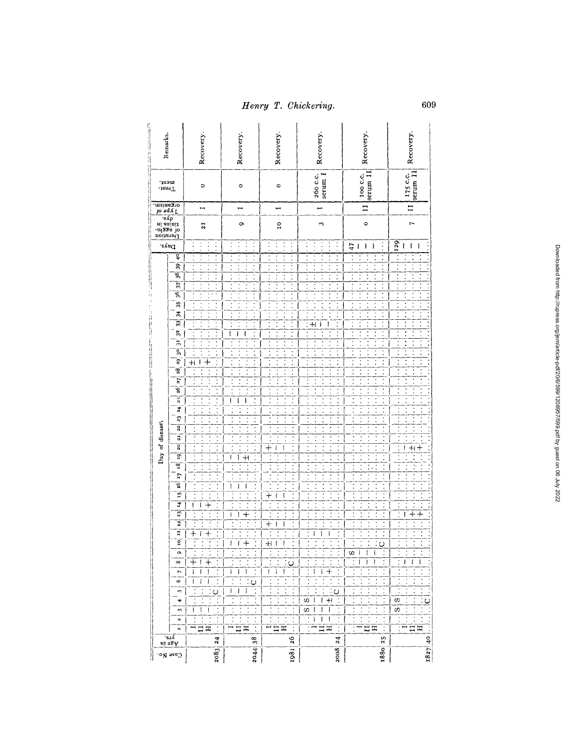| Remarks.               |                                          | Recovery.                                    | Recovery.                                          | Recovery.                        | Recovery.                                    | Recovery.                                               | Recovery.                                                            |
|------------------------|------------------------------------------|----------------------------------------------|----------------------------------------------------|----------------------------------|----------------------------------------------|---------------------------------------------------------|----------------------------------------------------------------------|
| ment.<br>JeenT         |                                          | $\circ$                                      | $\circ$                                            | ۰                                | 260 c.c.<br>serum 1                          | serum II<br><b>100 C.C.</b>                             | $\begin{array}{c} 175 \text{ c.c.} \\ \text{serum } \Pi \end{array}$ |
| organism.<br>Organism. |                                          | $\blacksquare$                               | Н                                                  | m,                               | ш                                            | $\overline{11}$                                         | $\mathbf{I}$                                                         |
|                        |                                          | 21                                           | Ö                                                  | $\frac{1}{2}$                    | ω                                            | $\circ$                                                 | $\overline{ }$                                                       |
|                        | .eysO                                    |                                              |                                                    | $\vdots$<br>$\vdots$<br>$\vdots$ | $\vdots$<br>$\vdots$<br>$\vdots$             | 47<br>l<br>ł<br>ł                                       | 129<br>I<br>I<br>ł                                                   |
|                        | ę.                                       |                                              | $\ddot{\cdot}$                                     | $\ddot{\cdot}$<br>$\ddot{\cdot}$ | $\ddot{\phantom{0}}$<br>$\ddot{\phantom{0}}$ | $\ddot{\cdot}$<br>$\ddot{\phantom{0}}$                  |                                                                      |
|                        | B                                        |                                              | $\ddot{\phantom{0}}$                               | $\ddot{\cdot}$                   | ۰                                            | $\ddot{\cdot}$                                          |                                                                      |
|                        | 38<br>$\overline{37}$                    | $\ddot{\cdot}$<br>$\ddot{\cdot}$             |                                                    | $\ddot{\cdot}$<br>j<br>$\cdot$   | $\ddot{\phantom{0}}$                         | $\ddot{\cdot}$<br>$\ddot{\cdot}$<br>$\vdots$            | $\ddot{\cdot}$                                                       |
|                        | ş6                                       |                                              |                                                    | $\ddot{\cdot}$                   |                                              | $\ddot{\cdot}$                                          |                                                                      |
|                        | $35^{\circ}$                             | $\ddot{\phantom{0}}$                         |                                                    | $\ddot{\cdot}$                   |                                              | $\ddot{\cdot}$                                          |                                                                      |
|                        | $\frac{1}{2}$                            | $\vdots$<br>$\ddot{\cdot}$                   |                                                    | $\ddot{\cdot}$                   |                                              | $\ddot{\cdot}$                                          |                                                                      |
|                        | $\overline{\mathbf{3}}$                  |                                              |                                                    | $\ddot{\cdot}$                   | $+1$<br>ł<br>ł                               | Ĩ.                                                      |                                                                      |
|                        | 32                                       | $\ddot{\cdot}$                               | $\ddot{\cdot}$<br>t<br>ł<br>ł                      | $\ddot{\cdot}$                   | İ<br>$\ddot{\cdot}$<br>$\ddot{\cdot}$        | $\vdots$                                                |                                                                      |
|                        | $\frac{1}{2}$                            | $\ddot{\cdot}$                               | $\ddot{\phantom{0}}$                               | $\ddot{\cdot}$                   | $\ddot{\phantom{0}}$                         |                                                         |                                                                      |
|                        | $\mathbf{S}$                             |                                              | $\ddot{\phantom{0}}$                               | $\ddot{\cdot}$                   |                                              |                                                         |                                                                      |
|                        | $\overline{3}$<br>28                     | $^{+}$<br>$\vdots$<br>ŧ<br>$\,{}^+$          | İ                                                  | l                                | $\ddot{\cdot}$<br>Ì                          | ,<br>$\ddot{\cdot}$<br>$\ddot{\cdot}$                   |                                                                      |
|                        | 27                                       | $\vdots$                                     | $\ddot{\phantom{0}}$                               | $\ddot{\cdot}$<br>$\vdots$       | $\ddot{\cdot}$                               |                                                         |                                                                      |
|                        | $\frac{8}{3}$                            | $\ddot{\cdot}$                               | $\ddot{\cdot}$                                     | $\ddot{\cdot}$                   | Ţ<br>$\ddot{\cdot}$                          | $\ddot{\cdot}$<br>İ<br>$\ddot{\phantom{0}}$             | ¥<br>$\ddot{\cdot}$                                                  |
|                        | 25                                       | $\ddot{\cdot}$                               | $\ddot{\cdot}$<br>١<br>J                           |                                  | $\ddot{\cdot}$                               | ï                                                       |                                                                      |
|                        | 24.                                      | $\ddot{\cdot}$                               |                                                    |                                  | $\ddot{\cdot}$                               |                                                         |                                                                      |
|                        | 23                                       | $\ddot{\phantom{a}}$                         | $\vdots$                                           |                                  | $\ddot{\cdot}$                               | $\ddot{\cdot}$                                          | $\ddot{\cdot}$                                                       |
| Day of disease;        | 22                                       | $\ddot{\cdot}$                               | $\ddot{\cdot}$<br>$\ddot{\cdot}$                   | $\ddot{\phantom{0}}$             | $\ddot{\cdot}$                               |                                                         |                                                                      |
|                        | 21 j                                     | ţ                                            | $\ddot{\cdot}$                                     | Í                                | $\vdots$                                     | $\vdots$<br>Ì                                           | $\ddot{\cdot}$<br>Ì                                                  |
|                        | $\overline{3}$<br>ā                      |                                              | $\ddot{\cdot}$                                     | $^{+}$<br>ł<br>t                 | $\ddot{\cdot}$                               | $\ddot{\cdot}$<br>$\ddot{\phantom{0}}$                  | $\ddot{\cdot}$<br>$H$ + $H$<br>$\mathbf{I}$                          |
|                        | 18                                       | $\ddot{\cdot}$<br>$\ddot{\cdot}$<br>$\vdots$ | $\vdots$<br>ſ<br>ĺ<br>$+1$<br>$\ddot{\phantom{0}}$ |                                  | $\ddot{\cdot}$<br>j<br>Ţ                     | $\ddot{\phantom{0}}$<br>$\ddot{\cdot}$                  | ÷.                                                                   |
|                        | ŢŢ                                       | $\ddot{\cdot}$                               |                                                    |                                  | $\ddot{\phantom{0}}$                         |                                                         |                                                                      |
|                        | $\overline{9}$                           | $\ddot{\cdot}$                               | l<br>ı<br>ı                                        | $\ddot{\cdot}$                   | $\ddot{\cdot}$                               |                                                         |                                                                      |
|                        | 15                                       | $\ddot{\cdot}$                               |                                                    | $\ddot{\cdot}$<br>┽<br>ł<br>ł    | ţ                                            | $\ddot{\cdot}$<br>$\ddot{\cdot}$                        | $\ddot{\cdot}$                                                       |
|                        | Ä                                        | $\ddot{\cdot}$<br>I<br>┿<br>ſ                |                                                    |                                  |                                              |                                                         | $\ddot{\cdot}$                                                       |
|                        | Ť                                        | $\vdots$<br>$\ddot{\cdot}$                   | ţ<br>J<br>Į<br>$\,{}^+$                            | $\ddot{\cdot}$                   | $\ddot{\cdot}$                               | $\ddot{\cdot}$<br>$\ddot{\cdot}$<br>Ì<br>$\ddot{\cdot}$ | $\ddot{\cdot}$<br>$\ddot{+}$<br>ľ                                    |
|                        | 12                                       | $\ddot{\cdot}$                               | $\ddot{\phantom{0}}$                               | $\, +$<br>İ<br>I<br>ļ            | $\ddot{\cdot}$                               | $\ddot{\cdot}$<br>$\ddot{\cdot}$<br>$\ddot{\cdot}$      | $\ddot{\phantom{0}}$<br>$\ddot{\phantom{0}}$                         |
|                        | $\overline{11}$<br>£,                    | $\boldsymbol{+}$<br>┽<br>l                   |                                                    | ï                                | Į<br>ł<br>ł                                  | $\cdot$<br>٠                                            |                                                                      |
|                        | $\sigma$                                 |                                              |                                                    | $+1$<br>ı                        |                                              | O                                                       |                                                                      |
|                        | $\infty$                                 | $\div$<br>╅                                  | ł                                                  | $\circ$                          |                                              | U)<br>ł<br>ł<br>ł<br>ł<br>ł<br>ł                        | ì<br>ı<br>ł                                                          |
|                        | N                                        | $\ddot{\cdot}$<br>Į<br>ı<br>J                | $\ddot{\cdot}$<br>J<br>J<br>ł                      | I<br>J<br>I                      | $\ddot{\cdot}$<br>ţ<br>I<br>$^{+}$           | Ì                                                       | $\cdot$                                                              |
|                        | $\circ$                                  | $\ddot{\cdot}$<br>ł<br>ł<br>ł                | $\circ$                                            |                                  |                                              |                                                         |                                                                      |
|                        | iŋ,                                      | $\circ$                                      | ł<br>ı<br>ł                                        | $\ddot{\cdot}$                   | ပ                                            |                                                         |                                                                      |
|                        | 4                                        | Ξ                                            | $\ddot{\cdot}$                                     | $\ddot{\cdot}$                   | $\ddot{\cdot}$<br>$\pm$<br>w,<br>1<br>Ł      | $\ddot{\cdot}$                                          | S,                                                                   |
|                        | m                                        | l<br>I<br>ł                                  | $\ddot{\cdot}$                                     | $\ddot{\cdot}$                   | ł<br>ł<br>$\vdots$<br>w,<br>ł                |                                                         | U)                                                                   |
|                        | ø                                        | $\ddot{\cdot}$                               | $\ddot{\phantom{0}}$                               |                                  | $\ddot{\cdot}$<br>ł<br>f.<br>ı<br>: ∼        | $\ddot{\cdot}$                                          | $\ddot{\cdot}$                                                       |
|                        | н                                        | $\ddot{\cdot}$<br>ΞĦ                         | $\ddot{\cdot}$                                     | $\vdots$<br>ΞĦ                   | $\ddot{\cdot}$<br>Ξ<br>Ξ                     | Ξ                                                       | $\Xi$ $\Xi$                                                          |
|                        | $\frac{1}{12}$ is a set of $\frac{1}{2}$ | 24                                           | 38                                                 | 26                               | 24                                           | 25                                                      | $\frac{1}{4}$                                                        |
|                        | $\cos$ No.                               | 2083                                         | 2044                                               | 1981                             | 2008                                         | 1880                                                    | 1827                                                                 |

609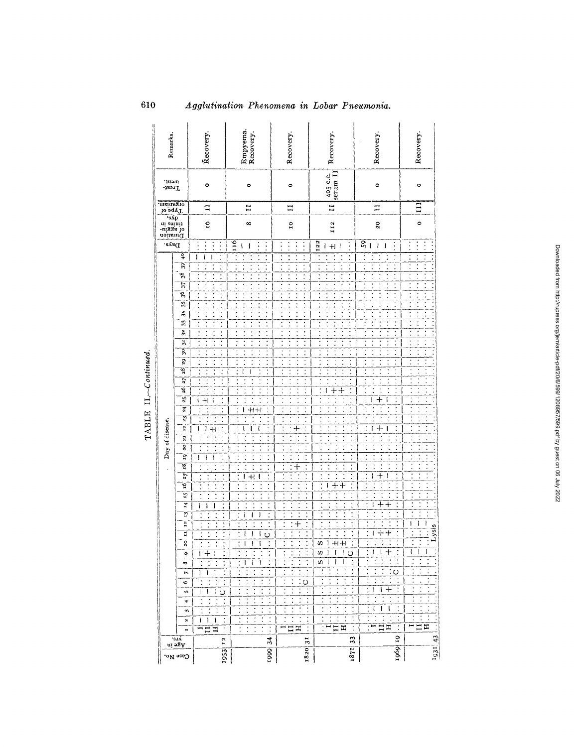| Remarks.                                |                         | Recovery.                                                      | Empyema.<br>Recovery.                                                | Recovery.                                                                                       | Recovery.                                                            | Recovery.                                                            | Recovery.                        |
|-----------------------------------------|-------------------------|----------------------------------------------------------------|----------------------------------------------------------------------|-------------------------------------------------------------------------------------------------|----------------------------------------------------------------------|----------------------------------------------------------------------|----------------------------------|
| ment.<br>Treat-                         |                         | $\circ$                                                        | $\circ$                                                              | $\circ$                                                                                         | $\begin{array}{c} 405 \text{ c.c.} \\ \text{serum II} \end{array}$   | $\circ$                                                              | $\circ$                          |
| organism.<br>Type of                    |                         | $\overline{1}$                                                 | $\mathbf{I}$                                                         | $\Xi$                                                                                           | $\mathbf{I}$                                                         | $\mathbf{H}$                                                         | $\Xi$                            |
| aoitsud<br>tinins in<br>ass do<br>assud |                         | $\frac{6}{1}$                                                  | $\infty$                                                             | $\overline{a}$                                                                                  | II2                                                                  | 20                                                                   | $\circ$                          |
| Days.                                   |                         | $\ddot{\cdot}$<br>$\vdots$<br>:<br>$\ddot{\cdot}$              | 116<br>$\ddot{\cdot}$<br>$\overline{\phantom{a}}$<br>ł               | $\ddot{\cdot}$<br>$\ddot{\cdot}$<br>:                                                           | 122<br>$\ddot{\cdot}$<br>$+$                                         | S)<br>$\vdots$<br>l<br>l<br>Į                                        | $\ddot{\cdot}$<br>$\ddot{\cdot}$ |
|                                         | $\frac{1}{2}$           | $\mathbf{I}$<br>١<br>ſ                                         | $\ddot{\cdot}$                                                       | $\ddot{\cdot}$<br>$\ddot{\phantom{0}}$                                                          | $\ddot{\cdot}$<br>j                                                  |                                                                      |                                  |
|                                         | $\overline{39}$         | $\ddot{\cdot}$<br>$\ddot{\cdot}$                               |                                                                      | $\ddot{\cdot}$                                                                                  | $\ddot{\cdot}$                                                       |                                                                      |                                  |
|                                         | 38<br>37                | $\ddot{\phantom{0}}$<br>$\ddot{\cdot}$                         | $\ddot{\phantom{0}}$<br>$\ddot{\cdot}$<br>$\ddot{\cdot}$             | $\ddot{\cdot}$<br>$\vdots$<br>Ì<br>í                                                            | $\ddot{\cdot}$<br>$\cdot$<br>ł                                       |                                                                      |                                  |
|                                         | Ş,                      | $\ddot{\cdot}$<br>$\ddot{\cdot}$                               | $\ddot{\phantom{a}}$                                                 |                                                                                                 | $\ddot{\cdot}$                                                       |                                                                      |                                  |
|                                         | Š,                      | $\ddot{\phantom{0}}$                                           | ï<br>٠                                                               |                                                                                                 | $\ddot{\cdot}$                                                       |                                                                      |                                  |
|                                         | 34                      | $\ddot{\cdot}$<br>$\ddot{\cdot}$<br>İ                          | $\ddot{\cdot}$<br>İ<br>$\ddot{\phantom{a}}$                          | $\ddot{\cdot}$                                                                                  | $\ddot{\cdot}$                                                       |                                                                      |                                  |
|                                         | B                       |                                                                | $\ddot{\phantom{0}}$                                                 | :                                                                                               | $\ddot{\cdot}$                                                       |                                                                      |                                  |
|                                         | $\overline{32}$         | $\ddot{\cdot}$                                                 | İ                                                                    |                                                                                                 | $\ddot{\cdot}$                                                       | $\ddot{\phantom{0}}$                                                 |                                  |
|                                         | $\frac{1}{2}$           | $\ddot{\phantom{0}}$<br>Î,                                     | $\ddot{\cdot}$<br>$\vdots$                                           | $\ddot{\cdot}$                                                                                  | Ξ<br>f                                                               | $\ddot{\cdot}$<br>$\ddot{\cdot}$<br>$\ddot{\cdot}$<br>$\ddot{\cdot}$ | $\ddot{\cdot}$<br>$\ddot{\cdot}$ |
|                                         | $\overline{\mathbf{S}}$ | $\ddot{\cdot}$                                                 | $\ddot{\phantom{0}}$<br>:                                            | :                                                                                               | $\ddot{\cdot}$                                                       | ï<br>$\ddot{\phantom{0}}$<br>$\ddot{\phantom{0}}$                    | $\ddot{\phantom{0}}$             |
|                                         | ō.<br>28                |                                                                | Ì<br>ł                                                               | $\ddot{\cdot}$                                                                                  |                                                                      | $\ddot{\phantom{a}}$                                                 | $\ddot{\cdot}$<br>$\ddot{\cdot}$ |
|                                         | $\overline{z}$          | $\vdots$<br>$\cdot$                                            | l<br>$\ddot{\cdot}$                                                  | ł                                                                                               | $\ddot{\cdot}$                                                       | $\ddot{\cdot}$<br>$\ddot{\cdot}$                                     |                                  |
|                                         | ş                       | $\ddot{\cdot}$                                                 | ï<br>İ<br>$\ddot{\phantom{0}}$<br>$\ddot{\cdot}$<br>$\ddot{\cdot}$   | $\vdots$                                                                                        | ċ<br>ı<br>┽<br>┿                                                     | $\ddot{\cdot}$                                                       |                                  |
|                                         | 25                      | $+1$<br>ł<br>ł                                                 |                                                                      |                                                                                                 |                                                                      | $\ddot{\phantom{0}}$<br>ł<br>$\, +$<br>ł                             |                                  |
|                                         | $\overline{a}$          | $\cdot$                                                        | $\ddot{\cdot}$<br>$+1+1$<br>L                                        | $\ddot{\cdot}$                                                                                  |                                                                      | ł.<br>$\ddot{\cdot}$                                                 |                                  |
|                                         | 23.                     | $\ddot{\cdot}$                                                 | $\ddot{\phantom{0}}$<br>$\ddot{\phantom{a}}$<br>$\vdots$             | $\ddot{\cdot}$                                                                                  | $\ddot{\phantom{0}}$                                                 |                                                                      |                                  |
| Day of disease.                         | $\overline{22}$         | $\ddot{\cdot}$<br>ı<br>$+1$<br>ì                               | $\ddot{\cdot}$<br>ł<br>ţ<br>ţ                                        | $\overline{\cdot}$<br>$\ddot{\cdot}$<br>$\ddotplus$                                             |                                                                      | $^{+}$<br>Ì                                                          |                                  |
|                                         | $\overline{z}$<br>20    | $\ddot{\cdot}$                                                 | $\vdots$<br>$\ddot{\cdot}$                                           | $\ddot{\cdot}$                                                                                  |                                                                      | $\ddot{\phantom{a}}$                                                 | $\ddot{\phantom{0}}$             |
|                                         | ig                      | $\ddot{\cdot}$<br>$\ddot{\cdot}$<br>$\mathbf i$<br>ł<br>۱      | $\ddot{\cdot}$<br>$\ddot{\cdot}$<br>$\ddot{\cdot}$<br>$\ddot{\cdot}$ | $\ddot{\cdot}$<br>$\ddot{\cdot}$<br>$\ddot{\cdot}$                                              | $\ddot{\cdot}$                                                       |                                                                      |                                  |
|                                         | 3i                      | $\ddot{\phantom{0}}$<br>$\ddot{\phantom{0}}$<br>$\ddot{\cdot}$ | Ξ<br>$\ddot{\cdot}$<br>$\ddot{\cdot}$<br>$\ddot{\cdot}$              | Ī<br>$\ddot{\cdot}$<br>$\ddot{\cdot}$<br>$\ddot{}$                                              | $\ddot{\cdot}$<br>$\ddot{\phantom{0}}$                               |                                                                      | $\ddot{\cdot}$                   |
|                                         | $\overline{7}$          |                                                                | $\ddot{\phantom{0}}$<br>$\ddot{\cdot}$<br>t<br>$^{\rm +}$<br>I       | $\ddot{\phantom{a}}$                                                                            | $\ddot{\cdot}$<br>$\ddot{\phantom{0}}$                               | $\bm{+}$<br>I<br>Ì                                                   |                                  |
|                                         | ٦Ó,                     |                                                                | $\ddot{\cdot}$                                                       | $\ddot{\cdot}$                                                                                  | $\ddot{\cdot}$<br>t<br>$\, + \,$<br>ı                                |                                                                      |                                  |
|                                         | 51                      |                                                                | $\ddot{\cdot}$                                                       | $\ddot{\cdot}$<br>$\vdots$<br>$\ddot{\cdot}$<br>$\ddot{\phantom{0}}$                            | $\vdots$<br>$\ddot{\cdot}$                                           |                                                                      |                                  |
|                                         | $\overline{14}$         | $\ddot{\phantom{0}}$<br>ł<br>ł                                 | $\ddot{\cdot}$<br>:<br>$\ddot{\phantom{0}}$                          | $\ddot{\cdot}$<br>$\ddot{\phantom{0}}$<br>$\ddot{\phantom{0}}$                                  | $\ddot{\phantom{0}}$<br>$\ddot{\cdot}$<br>$\ddot{\cdot}$             | ⊣<br>ł<br>╈                                                          |                                  |
|                                         | $\vec{a}$               |                                                                | $\ddot{\cdot}$<br>Ì<br>Ì<br>J<br>ł                                   | İ<br>$\overline{\phantom{a}}$<br>$\ddot{\phantom{0}}$<br>$\ddot{\cdot}$<br>$\ddot{\phantom{0}}$ | $\ddot{\cdot}$<br>$\ddot{\cdot}$<br>٠                                | ٠                                                                    |                                  |
|                                         | 23                      |                                                                | $\ddot{\cdot}$<br>ţ<br>١<br>ł                                        | t<br>$\ddot{\phantom{0}}$<br>$\overline{+}$<br>$\ddot{\cdot}$<br>t                              | $\ddot{\cdot}$<br>$\ddot{\cdot}$<br>$\ddot{\cdot}$<br>$\ddot{\cdot}$ | $\,{}^+$<br>┿<br>Ì                                                   | i<br>ł<br>ł<br>Lysis<br>Ì        |
|                                         | H<br>$\mathbf{c}$       |                                                                | Ō                                                                    |                                                                                                 | ω                                                                    |                                                                      |                                  |
|                                         | ó                       |                                                                |                                                                      | $\ddot{\phantom{0}}$                                                                            | ĵ<br>ł<br>l<br>U)<br>$\circ$                                         | $\ddot{}$<br>ł<br>I                                                  | ţ<br>ļ<br>I                      |
|                                         | $\infty$                |                                                                | 1<br>ı<br>ı                                                          |                                                                                                 | w<br>ł<br>Ţ                                                          |                                                                      |                                  |
|                                         | ŗ                       | Ł<br>I<br>J                                                    | $\ddot{\cdot}$                                                       |                                                                                                 |                                                                      | $\circ$                                                              |                                  |
|                                         | 6                       |                                                                |                                                                      | ပ                                                                                               | $\ddot{\cdot}$                                                       | $\ddot{\cdot}$<br>$\ddot{\cdot}$                                     |                                  |
|                                         | s                       | Ł<br>$\circ$<br>Ł<br>L                                         |                                                                      | $\ddot{\cdot}$<br>$\ddot{\cdot}$                                                                | $\ddot{\cdot}$                                                       | ┿<br>ł<br>I.                                                         |                                  |
|                                         | 4                       |                                                                |                                                                      | $\ddot{\cdot}$                                                                                  | $\ddot{\cdot}$                                                       | $\ddot{\cdot}$<br>$\ddot{\phantom{0}}$<br>Ţ<br>ł<br>t                |                                  |
|                                         | ω<br>4                  | $\ddot{\cdot}$<br>1<br>I.<br>1                                 | $\ddot{\cdot}$                                                       | $\ddot{\cdot}$<br>$\cdot$<br>$\ddot{\phantom{0}}$                                               | $\ddot{\cdot}$<br>$\ddot{\cdot}$<br>$\ddot{\cdot}$                   |                                                                      | ļ                                |
|                                         | м                       | <b>HHH</b><br>$\ddot{\cdot}$                                   | $\ddot{\cdot}$                                                       | ⊟ ¤                                                                                             | $\overline{\cdot}$<br>$\Xi$ $\Xi$                                    | $\ddot{\cdot}$<br>$\Xi$ $\Xi$                                        | $\overline{\cdot}$<br>ロロ         |
|                                         | 'sıA                    | 12                                                             | 34                                                                   | 31                                                                                              | 33                                                                   | 19                                                                   |                                  |
|                                         | ui 28V                  |                                                                |                                                                      |                                                                                                 |                                                                      | 1969                                                                 | 1931   43                        |
|                                         | Case No.                | 953                                                            | 1999                                                                 | 1820                                                                                            | 1871                                                                 |                                                                      |                                  |

Agglutination Phenomena in Lobar Pneumonia.

TABLE II.-Continued.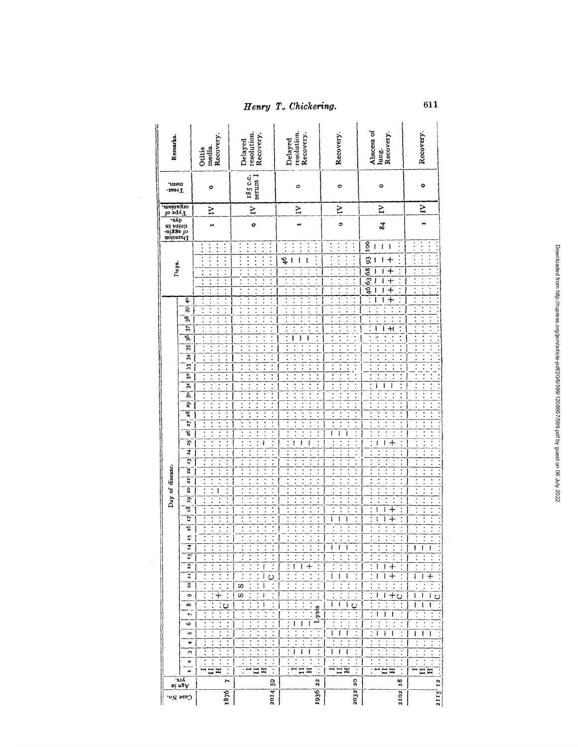| Remarks.                                |                                       | media.<br>Recovery.<br>Otitis                                                                                          | resolution.<br>Recovery.<br>Delayed                                                                                                                                                                                  | resolution.<br>Recovery.<br>Delayed                                                                                                            | Recovery.                                                                                   | Abscess of<br>Iung.<br>Recovery.                                                                                                                                                                                       | Recovery.                                                                                                                  |
|-----------------------------------------|---------------------------------------|------------------------------------------------------------------------------------------------------------------------|----------------------------------------------------------------------------------------------------------------------------------------------------------------------------------------------------------------------|------------------------------------------------------------------------------------------------------------------------------------------------|---------------------------------------------------------------------------------------------|------------------------------------------------------------------------------------------------------------------------------------------------------------------------------------------------------------------------|----------------------------------------------------------------------------------------------------------------------------|
| nent.<br>Treat-                         |                                       | ο                                                                                                                      | serum I<br>185 c.c.                                                                                                                                                                                                  | ۰                                                                                                                                              | ¢                                                                                           | 0                                                                                                                                                                                                                      | ۰                                                                                                                          |
| organism.<br>Type of                    |                                       | ξ                                                                                                                      | $\overline{a}$                                                                                                                                                                                                       | Σ                                                                                                                                              | ξ                                                                                           | Z                                                                                                                                                                                                                      | $\mathbf{N}$                                                                                                               |
| moinsum<br>cining<br>tin and an<br>exp. |                                       | Ħ                                                                                                                      | o                                                                                                                                                                                                                    | Ħ                                                                                                                                              | o                                                                                           | $\boldsymbol{g}$                                                                                                                                                                                                       | н                                                                                                                          |
|                                         |                                       | $\vdots$<br>$\vdots$<br>$\vdots$                                                                                       | $\vdots$<br>$\ddot{\cdot}$<br>$\vdots$<br>$\ddot{\cdot}$<br>:                                                                                                                                                        | $\vdots$<br>$\vdots$<br>$\vdots$                                                                                                               | :<br>:                                                                                      | 100<br>$\ddot{\cdot}$<br>ì<br>ì<br>ı                                                                                                                                                                                   |                                                                                                                            |
| Days.                                   |                                       | $\ddot{\cdot}$<br>$\ddot{\cdot}$<br>$\ddot{\cdot}$                                                                     | $\vdots$<br>٠<br>$\ddot{\phantom{0}}$<br>$\ddot{\cdot}$<br>$\ddot{\cdot}$<br>$\ddot{\cdot}$                                                                                                                          | $\ddot{\phantom{0}}$<br>\$<br>Ì<br>ŧ<br>ţ<br>$\ddot{\phantom{0}}$<br>$\ddot{\phantom{0}}$<br>$\ddot{\phantom{0}}$<br>$\ddot{\phantom{0}}$<br>İ | $\ddot{\phantom{0}}$<br>$\ddot{\cdot}$<br>$\ddot{\cdot}$<br>٠                               | 8<br>t<br>$\ddot{}$<br>ŧ<br>$\frac{8}{8}$<br>$\,+\,$<br>$\ddot{\cdot}$<br>ı<br>$\overline{63}$<br>$^+$<br>46<br>4                                                                                                      |                                                                                                                            |
|                                         | ॄ<br>P<br>98,                         | $\ddot{\cdot}$<br>İ<br>$\vdots$<br>$\ddot{\cdot}$<br>,<br>$\ddot{\cdot}$                                               | $\ddot{\phantom{0}}$<br>$\ddot{\cdot}$<br>$\ddot{\phantom{0}}$                                                                                                                                                       | $\ddot{\cdot}$<br>$\ddot{\cdot}$<br>$\ddot{\phantom{a}}$<br>$\ddot{\phantom{0}}$<br>$\ddot{\cdot}$                                             | $\ddot{\cdot}$<br>$\ddot{\cdot}$<br>$\ddot{\cdot}$<br>$\ddot{\cdot}$<br>$\ddot{\cdot}$<br>İ | $^{+}$<br>$\ddot{\cdot}$<br>I<br>ı<br>$\ddot{\phantom{0}}$<br>$\ddot{\phantom{0}}$<br>$\ddot{\phantom{0}}$<br>$\ddot{\cdot}$<br>$\ddot{\phantom{0}}$<br>$\ddot{\cdot}$<br>$\ddot{\phantom{0}}$<br>$\ddot{\phantom{0}}$ | $\ddot{\phantom{0}}$<br>$\ddot{\cdot}$<br>$\ddot{\cdot}$                                                                   |
|                                         | $\overline{5}$<br>ড়ৢ                 | $\ddot{\cdot}$<br>$\ddot{\phantom{0}}$<br>$\ddot{\phantom{0}}$                                                         | $\ddot{\cdot}$                                                                                                                                                                                                       | $\ddot{\phantom{0}}$<br>$\ddot{\phantom{0}}$<br>ŧ<br>ì<br>١                                                                                    | $\ddot{\cdot}$                                                                              | $\ddot{\cdot}$<br>ł<br>$\ddot{+}$<br>ł<br>$\ddot{\cdot}$<br>ŕ.<br>$\ddot{\phantom{0}}$                                                                                                                                 | $\ddot{\phantom{0}}$<br>$\ddot{\cdot}$                                                                                     |
|                                         | B<br>莴<br>e.                          | $\ddot{\phantom{0}}$<br>$\ddot{\cdot}$<br>$\ddot{\cdot}$<br>$\ddot{\cdot}$<br>Ξ<br>Ì<br>$\ddot{\cdot}$<br>t            | $\overline{\cdot}$<br>$\ddot{\phantom{0}}$<br>$\ddot{\cdot}$<br>$\ddot{\cdot}$<br>t<br>:<br>$\cdot$<br>İ                                                                                                             | $\ddot{\cdot}$<br>$\ddot{\phantom{0}}$<br>Î                                                                                                    | $\ddot{\cdot}$                                                                              | $\ddot{\cdot}$<br>$\vdots$<br>Í<br>ł<br>$\ddot{\cdot}$<br>$\ddot{\phantom{0}}$                                                                                                                                         |                                                                                                                            |
|                                         | 32,<br>뵦                              | $\ddot{\cdot}$<br>$\ddot{\cdot}$<br>$\ddot{\cdot}$                                                                     | Ì<br>$\ddot{\cdot}$<br>$\ddot{\cdot}$                                                                                                                                                                                | $\ddot{\phantom{0}}$<br>$\ddot{\cdot}$<br>$\ddot{\cdot}$<br>٠                                                                                  |                                                                                             | $\ddot{\cdot}$<br>$\ddot{\phantom{0}}$<br>$\ddot{\cdot}$<br>I                                                                                                                                                          |                                                                                                                            |
|                                         | $\overline{S}$<br>Š.                  | $\overline{\cdot}$<br>$\overline{\cdot}$<br>$\ddot{\cdot}$<br>$\ddot{\cdot}$<br>$\ddot{\phantom{0}}$<br>$\ddot{\cdot}$ | $\ddot{\cdot}$<br>$\vdots$<br>$\ddot{\phantom{0}}$<br>İ<br>$\ddot{\cdot}$<br>:                                                                                                                                       | $\ddot{\cdot}$<br>$\ddot{\cdot}$<br>$\ddot{\cdot}$                                                                                             | $\ddot{\cdot}$<br>$\ddot{\cdot}$                                                            | $\ddot{\cdot}$<br>$\ddot{\cdot}$<br>$\ddot{\phantom{0}}$<br>j<br>:                                                                                                                                                     |                                                                                                                            |
|                                         | 28<br>$\overline{z}$<br>Ş             | $\ddot{\cdot}$<br>$\ddot{\cdot}$<br>$\ddot{\cdot}$<br>$\ddot{\phantom{0}}$<br>$\ddot{\cdot}$                           | $\ddot{\cdot}$<br>$\ddot{\cdot}$<br>$\ddot{\cdot}$<br>$\ddot{\cdot}$<br>$\ddot{\cdot}$<br>$\ddot{\phantom{0}}$<br>$\ddot{\cdot}$<br>$\ddot{\phantom{0}}$<br>$\ddot{\cdot}$<br>$\ddot{\phantom{0}}$<br>$\ddot{\cdot}$ | $\ddot{\cdot}$<br>$\ddot{\cdot}$<br>İ<br>$\ddot{\cdot}$<br>í<br>í<br>$\ddot{\cdot}$<br>$\ddot{\cdot}$                                          | $\ddot{\cdot}$<br>:<br>t<br>j<br>ı<br>ł<br>ł                                                | $\ddot{\cdot}$<br>$\ddot{\phantom{0}}$<br>$\ddot{\cdot}$<br>t<br>$\ddot{\cdot}$                                                                                                                                        | $\ddot{\cdot}$<br>İ<br>í<br>$\vdots$<br>$\ddot{\phantom{0}}$                                                               |
|                                         | $\frac{1}{25}$<br>$\frac{4}{5}$       | $\ddot{\cdot}$<br>$\ddot{\cdot}$<br>İ<br>$\ddot{\cdot}$<br>$\ddot{\cdot}$                                              | İ<br>İ<br>$\ddot{\cdot}$<br>ł<br>$\vdots$<br>$\ddot{\phantom{0}}$<br>$\ddot{\cdot}$<br>$\ddot{\cdot}$<br>$\ddot{\cdot}$                                                                                              | $\ddot{\cdot}$<br>ł<br>I<br>ı<br>$\ddot{\cdot}$<br>ł<br>$\ddot{\cdot}$                                                                         |                                                                                             | $\ddot{\phantom{0}}$<br>ł<br>⊣<br>ı<br>$\ddot{\phantom{a}}$<br>$\ddot{\cdot}$<br>$\ddot{\phantom{0}}$                                                                                                                  | İ<br>$\ddot{\cdot}$<br>İ<br>$\ddot{\cdot}$                                                                                 |
|                                         | 23.<br>22                             | $\ddot{\cdot}$<br>$\ddot{\cdot}$<br>$\ddot{\cdot}$                                                                     | $\ddot{\phantom{0}}$<br>$\ddot{\phantom{0}}$<br>t<br>$\ddot{\cdot}$<br>$\ddot{\cdot}$                                                                                                                                | $\ddot{\cdot}$<br>$\ddot{\phantom{0}}$<br>$\ddot{\cdot}$                                                                                       | è<br>:                                                                                      | $\ddot{\cdot}$<br>$\ddot{\cdot}$                                                                                                                                                                                       | $\ddot{\cdot}$<br>:<br>$\ddot{\cdot}$                                                                                      |
| Day of disease.                         | 21<br>a (<br>ā,                       | $\ddot{\phantom{0}}$<br>$\ddot{\cdot}$<br>$\ddot{\phantom{0}}$<br>$\ddot{\phantom{a}}$<br>ł<br>Ì<br>$\ddot{\cdot}$     | $\ddot{\cdot}$<br>$\ddot{\cdot}$<br>İ<br>$\ddot{\phantom{0}}$<br>$\ddot{\phantom{a}}$<br>$\ddot{\phantom{0}}$<br>$\ddot{\cdot}$<br>İ<br>ï<br>$\ddot{\cdot}$                                                          | $\ddot{\cdot}$<br>$\ddot{\cdot}$<br>$\ddot{\phantom{0}}$<br>$\ddot{\phantom{0}}$<br>$\overline{\cdot}$<br>$\cdot$                              | $\vdots$<br>$\ddot{\cdot}$<br>$\ddot{\cdot}$                                                | $\ddot{\cdot}$<br>$\ddot{\cdot}$<br>,<br>$\ddot{\cdot}$<br>$\ddot{\cdot}$<br>Ţ<br>$\cdot$<br>İ                                                                                                                         | $\ddot{\cdot}$<br>$\ddot{\cdot}$<br>$\ddot{\cdot}$<br>$\ddot{\cdot}$<br>$\ddot{\cdot}$<br>$\ddot{\cdot}$<br>$\ddot{\cdot}$ |
|                                         | å<br>17                               | $\ddot{\phantom{0}}$<br>۰<br>$\ddot{\phantom{0}}$                                                                      | $\ddot{\cdot}$<br>$\ddot{\cdot}$<br>İ<br>$\ddot{\cdot}$                                                                                                                                                              | $\ddot{\cdot}$<br>٠<br>٠<br>$\ddot{\cdot}$                                                                                                     | $\ddot{\phantom{0}}$<br>I<br>:<br>ĵ<br>ĵ                                                    | t<br>$\overline{\phantom{a}^+}$<br>$\ddot{\cdot}$<br>I<br>1<br>$\overline{\textbf{r}}$<br>$\ddot{\cdot}$<br>1<br>I                                                                                                     | $\ddot{\phantom{0}}$<br>$\ddot{\cdot}$                                                                                     |
|                                         | ç<br>15                               | $\overline{\cdot}$<br>$\ddot{\cdot}$<br>$\ddot{\phantom{0}}$                                                           | $\ddot{\cdot}$<br>$\ddot{\phantom{0}}$<br>$\ddot{\phantom{0}}$<br>:<br>$\ddot{\cdot}$                                                                                                                                | ፣<br>$\ddot{\cdot}$<br>$\cdot$                                                                                                                 | $\ddot{\phantom{0}}$<br>:                                                                   | İ<br>$\ddot{\cdot}$<br>t<br>$\ddot{\cdot}$<br>$\ddot{\cdot}$<br>$\ddot{\cdot}$<br>$\ddot{\cdot}$<br>$\ddot{\cdot}$                                                                                                     | $\ddot{\phantom{0}}$<br>$\ddot{\cdot}$<br>$\ddot{\cdot}$<br>$\ddot{\cdot}$<br>$\ddot{\cdot}$                               |
|                                         | $\frac{1}{2}$<br>$\overline{5}$<br>12 |                                                                                                                        | $\ddot{\cdot}$<br>$\ddot{\cdot}$<br>$\ddot{\cdot}$<br>$\ddot{\cdot}$<br>J                                                                                                                                            | ۰<br>$\ddot{\cdot}$<br>$\ddot{\cdot}$<br>$\ddot{\cdot}$<br>$\ddot{\cdot}$<br>1 +<br>ţ                                                          | ţ<br>$\ddot{\cdot}$                                                                         | $\ddot{\cdot}$<br>$\dot{\cdot}$<br>$\,$<br>$\dot{\ }$<br>ı<br>J                                                                                                                                                        | ı<br>ı<br>ı                                                                                                                |
|                                         | $\mathbf{H}$<br>ă                     | t<br>$\cdot$<br>$\ddot{\cdot}$<br>$\ddot{\cdot}$                                                                       | $\ddot{\cdot}$<br>J<br>$\circ$<br>$\ddot{\cdot}$<br>ł<br>U)                                                                                                                                                          | $\ddot{\cdot}$<br>٠<br>$\cdot$<br>$\ddot{\cdot}$                                                                                               | $\ddot{\cdot}$<br>f<br>I<br>J                                                               | $\div$<br>$\dot{.}$<br>l<br>Į<br>$\ddot{\cdot}$<br>$\ddot{\cdot}$<br>$\ddot{\cdot}$<br>$\ddot{\cdot}$<br>$\ddot{\cdot}$                                                                                                | ı<br>I<br>$\div$<br>$\ddot{\cdot}$<br>$\ddot{\cdot}$                                                                       |
|                                         | ó<br>œ                                | $\ddot{\cdot}$<br>ပ                                                                                                    | $\ddot{\cdot}$<br>ł<br>w<br>t<br>$\ddot{\phantom{0}}$<br>Ţ<br>$\ddot{\cdot}$<br>$\mathbf{I}$                                                                                                                         | :                                                                                                                                              | ł<br>$\ddagger$<br>ł.<br>$\circ$                                                            | ı<br>ł<br>$+$ ပ<br>٠<br>٠,<br>ī                                                                                                                                                                                        | ł<br>ł<br>ł<br>$\overline{Q}$<br>i<br>ı<br>î                                                                               |
|                                         | $\overline{\phantom{a}}$<br>م<br>w    | $\ddot{\cdot}$<br>$\ddot{\cdot}$<br>$\ddot{\cdot}$                                                                     | $\ddot{\phantom{0}}$<br>$\ddot{\cdot}$<br>$\ddot{\cdot}$<br>$\ddot{\cdot}$<br>$\ddot{\cdot}$<br>Ì<br>Ì<br>Ì<br>$\ddot{\cdot}$                                                                                        | Lysis<br>I<br>ı<br>ı<br>Į<br>$\ddot{\cdot}$<br>$\ddot{\phantom{0}}$                                                                            | $\ddot{\phantom{0}}$<br>$\ddot{\phantom{0}}$<br>I<br>ı<br>I                                 | I<br>ł<br>i<br>$\ddot{\cdot}$<br>t<br>I<br>ł<br>I<br>$\ddot{\cdot}$                                                                                                                                                    | $\ddot{\phantom{0}}$<br>$\ddot{\cdot}$<br>$\ddot{\cdot}$<br>I<br>ı<br>ı                                                    |
|                                         | ۰<br>s,                               | $\ddot{\cdot}$<br>$\ddot{\cdot}$                                                                                       |                                                                                                                                                                                                                      | $\ddot{\cdot}$<br>$\ddot{\cdot}$<br>$\ddot{\cdot}$<br>$\ddot{\cdot}$<br>ł<br>ł<br>ł                                                            | $\ddot{\cdot}$<br>$\ddot{\cdot}$<br>$\ddot{\cdot}$<br>ı<br>ł<br>ł                           | $\ddot{\phantom{0}}$<br>$\ddot{\cdot}$                                                                                                                                                                                 | $\ddot{\cdot}$<br>$\ddot{\cdot}$                                                                                           |
|                                         | n<br>M                                | $\ddot{\cdot}$<br>$\ddot{\cdot}$<br>$\Xi$ $\Xi$                                                                        | Ţ<br>$\Xi$                                                                                                                                                                                                           | Ţ<br>$\ddot{\cdot}$<br>$\cdot$<br>$\ddot{\cdot}$<br>HHH<br>ţ<br>÷                                                                              | Ξ<br>$\ddot{\cdot}$<br>$\Xi$<br>$\ddot{\cdot}$                                              | Ϊ<br>İ<br>$\ddot{\cdot}$<br>$\frac{1}{2}$                                                                                                                                                                              | Ξ<br>$\ddot{\cdot}$<br>FHH                                                                                                 |
|                                         | .erv<br>ai 23A                        | t,                                                                                                                     | S                                                                                                                                                                                                                    | 22                                                                                                                                             | $\overline{\mathbf{c}}$                                                                     | $\mathbf{r}^{\alpha}$                                                                                                                                                                                                  | 12                                                                                                                         |
| Case No.                                |                                       | 1876                                                                                                                   | 2014                                                                                                                                                                                                                 | 1936                                                                                                                                           | 2032                                                                                        | 2102                                                                                                                                                                                                                   | 2115                                                                                                                       |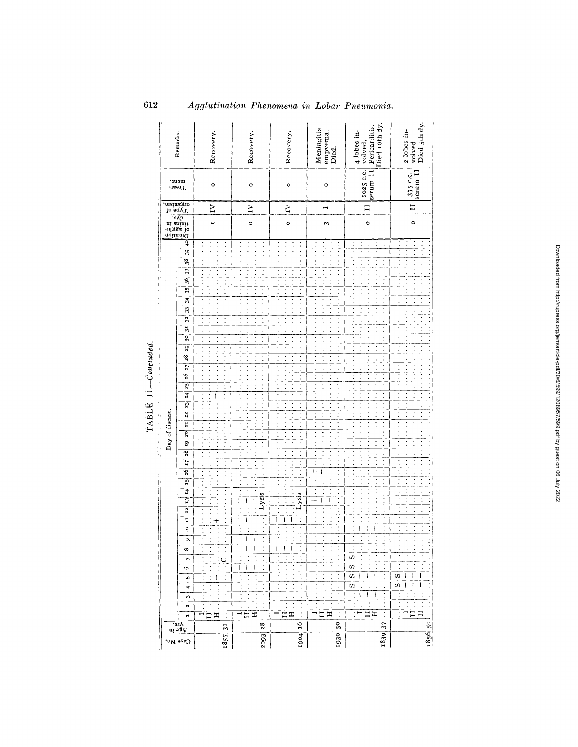| 'sıA<br>$\overline{u_1}$ $\circ$ $\overline{3}$ $\overline{y}$                                                                                                                                                                                                                                                                                                                                                      |  |  |  |                 |                                                                     | Day of disease.                                                                  |                                                                            |                                                                |                                                                |                                  |                                        |                                                    |                                        |                               | mins in<br>tinus in<br>algsa do<br>separation<br>contains dys- | organism<br>lo sqy <sup>T</sup> | meut.<br>-isərT       | Remarks.                                                   |
|---------------------------------------------------------------------------------------------------------------------------------------------------------------------------------------------------------------------------------------------------------------------------------------------------------------------------------------------------------------------------------------------------------------------|--|--|--|-----------------|---------------------------------------------------------------------|----------------------------------------------------------------------------------|----------------------------------------------------------------------------|----------------------------------------------------------------|----------------------------------------------------------------|----------------------------------|----------------------------------------|----------------------------------------------------|----------------------------------------|-------------------------------|----------------------------------------------------------------|---------------------------------|-----------------------|------------------------------------------------------------|
| I7<br>íói<br>$\overline{15}$<br>$\frac{1}{2}$<br>ij<br>12<br>H<br>o<br>Ō.<br>ω<br>r<br>v<br>n<br>+<br>S<br>a<br>н                                                                                                                                                                                                                                                                                                   |  |  |  | $\overline{18}$ | g<br>p                                                              | 22<br>21                                                                         | $\overline{1}$<br>23                                                       | 26<br>25                                                       | 28<br>27                                                       | 30<br>29.                        | $32^1$<br>ä                            | $\frac{34}{3}$<br>33 <sup>1</sup>                  | $\overline{\overline{37}}$<br>ಀೢ<br>35 | Ŗ<br>8                        | ģ.                                                             |                                 |                       |                                                            |
| $\ddot{\phantom{0}}$<br>$\ddot{\cdot}$<br>$\ddot{\phantom{0}}$<br>$\ddot{\cdot}$<br>$\,{}^+$<br>$\mathsf \circ$<br>$\ddot{\cdot}$<br>$\ddot{\cdot}$<br>$\ddot{\cdot}$<br>$\ddot{\cdot}$<br>ᄑ<br>31                                                                                                                                                                                                                  |  |  |  |                 | $\vdots$<br>$\ddot{\cdot}$                                          |                                                                                  | Î                                                                          | $\ddot{\cdot}$<br>$\ddot{\cdot}$                               | $\vdots$<br>$\ddot{\cdot}$                                     | $\vdots$                         | $\ddot{\phantom{0}}$<br>$\ddot{\cdot}$ |                                                    |                                        |                               | H                                                              | ξ                               | ۰                     | Recovery.                                                  |
| $\ddot{\cdot}$<br>$\ddot{\cdot}$<br>$\ddot{\cdot}$<br><b>Lysis</b><br>ł<br>۱<br>ı<br>١<br>L<br>I<br>$\mathsf I$<br>$\hat{\phantom{a}}$<br>$\ddot{\phantom{0}}$<br>I<br>1<br>ł<br>٠<br>$\vdots$<br>д<br>28                                                                                                                                                                                                           |  |  |  |                 | Ţ<br>$\vdots$<br>$\ddot{\cdot}$                                     | $\ddot{\cdot}$<br>$\ddot{\cdot}$                                                 | $\ddot{\cdot}$<br>$\ddot{\cdot}$                                           | Ţ<br>Ξ                                                         | Ξ<br>Ţ                                                         | $\ddot{\cdot}$<br>$\vdots$       | $\ddot{\cdot}$<br>Ţ                    | $\ddot{\cdot}$<br>$\ddot{\cdot}$<br>$\ddot{\cdot}$ |                                        | $\ddot{\cdot}$<br>$\vdots$    | $\circ$<br>$\ddot{\cdot}$                                      | Σ                               | $\circ$               | Recovery.                                                  |
| $\ddot{\cdot}$<br>$\ddot{\cdot}$<br>Ξ<br>$\ddot{\cdot}$<br>Lysis<br>Î,<br>i<br>ı<br>ı<br>ı<br>$\ddot{\cdot}$<br>$\ddot{\cdot}$<br>$\ddot{\cdot}$<br>$\ddot{\cdot}$<br>$\ddot{\cdot}$<br>Ξ<br>$\overline{16}$                                                                                                                                                                                                        |  |  |  |                 | $\ddot{\cdot}$<br>$\vdots$                                          | Ξ<br>$\ddot{\cdot}$                                                              | $\ddot{\cdot}$<br>l,<br>$\vdots$                                           | $\vdots$<br>$\ddot{\cdot}$<br>Ţ<br>$\ddot{\phantom{0}}$        | Ξ<br>$\ddot{\cdot}$<br>$\vdots$                                | $\ddot{\cdot}$<br>$\ddot{\cdot}$ | $\ddot{\cdot}$<br>$\vdots$             | $\ddot{\cdot}$<br>$\ddot{\cdot}$<br>$\ddot{\cdot}$ |                                        | $\ddot{\cdot}$                | $\circ$                                                        | $\mathbf{z}$                    | $\circ$               | Recovery.                                                  |
| $\ddot{\cdot}$<br>$\ddot{\cdot}$<br>$\ddot{\cdot}$<br>,<br>$\pm$<br>Ì.<br>ł<br>ł<br>$\vdots$<br>$\ddot{\cdot}$<br>Î,<br>$\ddot{\cdot}$<br>$\ddot{\cdot}$<br>$\ddot{\cdot}$<br>$\cdot$<br>$\ddot{}$<br>I<br>Ì<br>$\ddot{\phantom{0}}$<br>$\ddot{\cdot}$<br>$\ddot{\cdot}$<br>$\ddot{\cdot}$<br>$\vdots$<br>$\ddot{\cdot}$<br>t<br>$\ddot{\cdot}$<br>$\ddot{\cdot}$<br>$\ddot{\cdot}$<br>Ξ<br>$\mathcal{S}^{\bullet}$ |  |  |  |                 | t<br>$\ddot{\cdot}$<br>$\vdots$<br>$\vdots$                         | $\ddot{\cdot}$<br>$\ddot{\cdot}$<br>$\ddot{\phantom{0}}$                         | $\ddot{\cdot}$<br>$\ddot{\phantom{0}}$<br>$\ddot{\cdot}$<br>$\ddot{\cdot}$ | $\ddot{\cdot}$<br>$\vdots$<br>Ξ<br>ī                           | $\overline{\cdot}$<br>$\ddot{\cdot}$<br>$\ddot{\cdot}$         | $\ddot{\cdot}$<br>$\ddot{\cdot}$ | $\vdots$<br>$\ddot{\cdot}$             | $\ddot{\cdot}$<br>$\vdots$<br>$\vdots$             |                                        | Ţ<br>$\ddot{\cdot}$           | ω<br>$\ddot{\phantom{0}}$                                      |                                 | $\circ$               | Meningitis<br>empyema.<br>Died.                            |
| ĵ<br>$\ddot{\cdot}$<br>$\ddot{\cdot}$<br>$\ddot{\cdot}$<br>$\ddot{\cdot}$<br>$\pmb{\mathcal{g}}$<br>$\ddot{\cdot}$<br>ł<br>ţ<br>$\ddot{\cdot}$<br>w<br>$\vdots$<br>S<br>$\ddot{\cdot}$<br>c,<br>١<br>-1<br>f<br>$\ddot{\cdot}$<br>ω<br>$\ddot{\cdot}$<br>$\ddot{\cdot}$<br>ſ<br>ł<br>$\mathbf{I}$<br>Ī<br>$\ddot{\cdot}$<br>Ì<br>$\ddot{\cdot}$<br>$\ddot{\cdot}$<br>工<br>37                                        |  |  |  |                 | $\ddot{\cdot}$<br>×<br>$\vdots$<br>$\ddot{\cdot}$<br>$\ddot{\cdot}$ | $\ddot{\cdot}$<br>$\vdots$<br>$\ddot{\cdot}$<br>$\ddot{\cdot}$<br>$\ddot{\cdot}$ |                                                                            | $\ddot{\cdot}$<br>$\vdots$<br>$\ddot{\cdot}$<br>$\ddot{\cdot}$ | $\ddot{\cdot}$<br>$\ddot{\phantom{0}}$<br>$\ddot{\phantom{0}}$ |                                  |                                        | $\vdots$                                           | $\ddot{\cdot}$                         | t                             | $\circ$<br>:<br>$\ddot{\cdot}$<br>$\vdots$<br>$\vdots$         | $\overline{H}$                  | serum II<br>1025 C.C. | $4$ lobes in-<br>volved,<br>Pericarditis.<br>Died 10th dy. |
| $\ddot{\phantom{0}}$<br>$\ddot{\phantom{0}}$<br>$\ddot{\cdot}$<br>$\ddot{\cdot}$<br>j<br>ł<br>ı<br>۱<br>w<br>I<br>ł<br>w<br>ı<br>$\ddot{\cdot}$<br>$\ddot{\cdot}$<br>$\ddot{\cdot}$<br>$\ddot{\cdot}$<br>$\ddot{\cdot}$<br>İ<br>$\Xi$ $\Xi$<br>S                                                                                                                                                                    |  |  |  |                 | $\ddot{\cdot}$<br>$\ddot{\cdot}$                                    | $\ddot{\cdot}$                                                                   |                                                                            |                                                                | $\ddot{\phantom{0}}$                                           |                                  |                                        |                                                    |                                        | t<br>Ì<br>÷<br>$\ddot{\cdot}$ | $\circ$<br>$\ddot{\cdot}$<br>$\vdots$<br>$\ddot{\cdot}$        | $\mathbf{H}$                    | $375 c.c.Section 11$  | 2 lobes in-<br>volved.<br>Died 5th dy.                     |

TABLE II .- Concluded.

Agglutination Phenomena in Lobar Pneumonia.